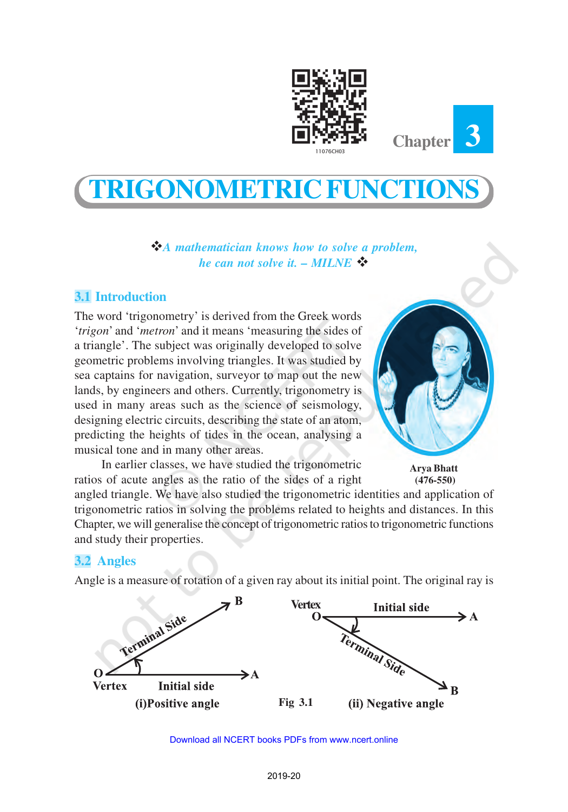



# **TRIGONOMETRIC FUNCTIONS**

v*A mathematician knows how to solve a problem, he can not solve it. – MILNE*  $\mathbf{\hat{v}}$ 

# **3.1 Introduction**

The word 'trigonometry' is derived from the Greek words '*trigon*' and '*metron*' and it means 'measuring the sides of a triangle'. The subject was originally developed to solve geometric problems involving triangles. It was studied by sea captains for navigation, surveyor to map out the new lands, by engineers and others. Currently, trigonometry is used in many areas such as the science of seismology, designing electric circuits, describing the state of an atom, predicting the heights of tides in the ocean, analysing a musical tone and in many other areas.

In earlier classes, we have studied the trigonometric ratios of acute angles as the ratio of the sides of a right

**Arya Bhatt (476-550)**

angled triangle. We have also studied the trigonometric identities and application of trigonometric ratios in solving the problems related to heights and distances. In this Chapter, we will generalise the concept of trigonometric ratios to trigonometric functions and study their properties.

# **3.2 Angles**

Angle is a measure of rotation of a given ray about its initial point. The original ray is

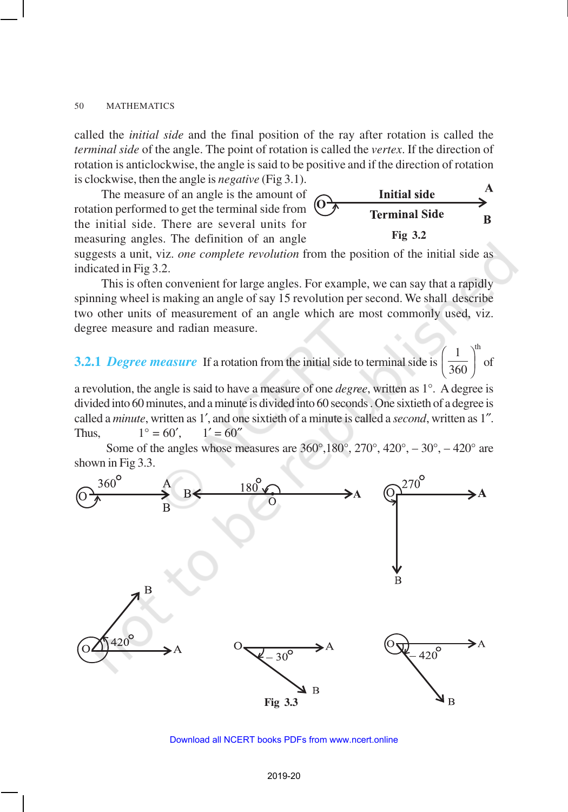called the *initial side* and the final position of the ray after rotation is called the *terminal side* of the angle. The point of rotation is called the *vertex*. If the direction of rotation is anticlockwise, the angle is said to be positive and if the direction of rotation is clockwise, then the angle is *negative* (Fig 3.1). A

**Initial side Terminal Side** 

B

The measure of an angle is the amount of rotation performed to get the terminal side from the initial side. There are several units for measuring angles. The definition of an angle

suggests a unit, viz. *one complete revolution* from the position of the initial side as indicated in Fig 3.2. **Fig 3.2**

This is often convenient for large angles. For example, we can say that a rapidly spinning wheel is making an angle of say 15 revolution per second. We shall describe two other units of measurement of an angle which are most commonly used, viz. degree measure and radian measure.

**3.2.1** *Degree measure* If a rotation from the initial side to terminal side is  $1 \quad \lambda^{\text{th}}$  $\left(\frac{1}{360}\right)^{6}$  of

a revolution, the angle is said to have a measure of one *degree*, written as 1°. A degree is divided into 60 minutes, and a minute is divided into 60 seconds . One sixtieth of a degree is called a *minute*, written as 1′, and one sixtieth of a minute is called a *second*, written as 1″. Thus,  $1^{\circ} = 60'$ ,  $1' = 60''$ 

Some of the angles whose measures are  $360^\circ, 180^\circ, 270^\circ, 420^\circ, -30^\circ, -420^\circ$  are shown in Fig 3.3.



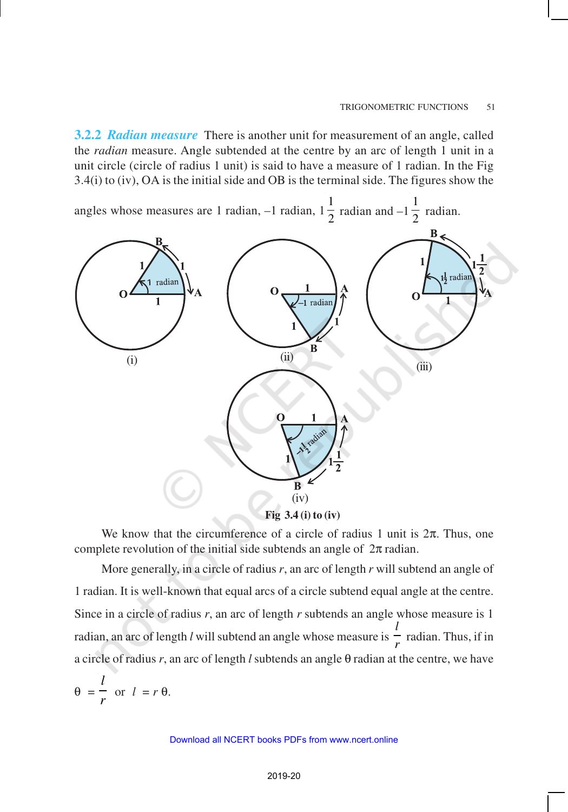**3.2.2** *Radian measure* There is another unit for measurement of an angle, called the *radian* measure. Angle subtended at the centre by an arc of length 1 unit in a unit circle (circle of radius 1 unit) is said to have a measure of 1 radian. In the Fig 3.4(i) to (iv), OA is the initial side and OB is the terminal side. The figures show the

angles whose measures are 1 radian, –1 radian, 1 1  $\frac{1}{2}$  radian and -1 1  $\frac{1}{2}$  radian.



**Fig 3.4 (i) to (iv)**

We know that the circumference of a circle of radius 1 unit is  $2\pi$ . Thus, one complete revolution of the initial side subtends an angle of  $2\pi$  radian.

More generally, in a circle of radius *r*, an arc of length *r* will subtend an angle of 1 radian. It is well-known that equal arcs of a circle subtend equal angle at the centre. Since in a circle of radius *r*, an arc of length *r* subtends an angle whose measure is 1 radian, an arc of length *l* will subtend an angle whose measure is *l*  $\frac{1}{r}$  radian. Thus, if in a circle of radius *r*, an arc of length *l* subtends an angle θ radian at the centre, we have

$$
\theta = \frac{l}{r} \text{ or } l = r \theta.
$$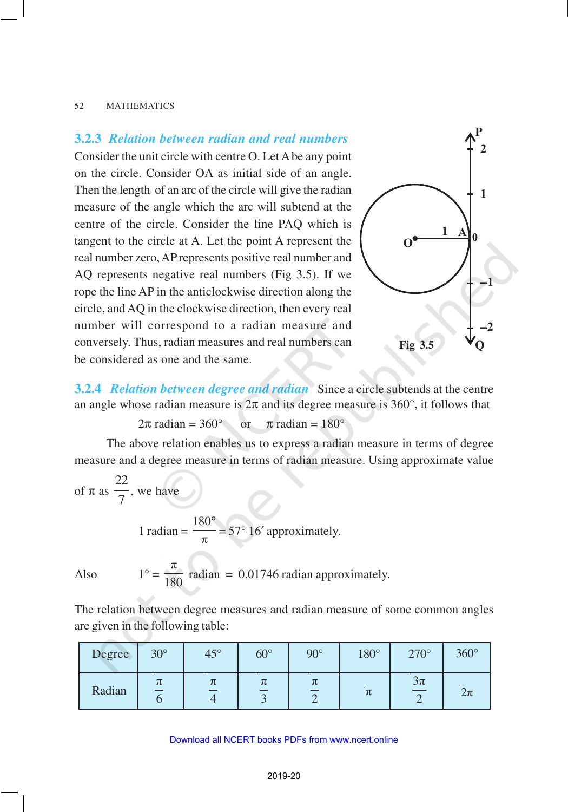## **3.2.3** *Relation between radian and real numbers*

Consider the unit circle with centre O. Let A be any point on the circle. Consider OA as initial side of an angle. Then the length of an arc of the circle will give the radian measure of the angle which the arc will subtend at the centre of the circle. Consider the line PAQ which is tangent to the circle at A. Let the point A represent the real number zero, AP represents positive real number and AQ represents negative real numbers (Fig 3.5). If we rope the line AP in the anticlockwise direction along the circle, and AQ in the clockwise direction, then every real number will correspond to a radian measure and conversely. Thus, radian measures and real numbers can be considered as one and the same.



**3.2.4** *Relation between degree and radian* Since a circle subtends at the centre an angle whose radian measure is  $2\pi$  and its degree measure is 360 $^{\circ}$ , it follows that

 $2\pi$  radian = 360° or  $\pi$  radian = 180°

The above relation enables us to express a radian measure in terms of degree measure and a degree measure in terms of radian measure. Using approximate value

of 
$$
\pi
$$
 as  $\frac{22}{7}$ , we have

1 radian  $=$ 180 π °  $= 57^{\circ} 16'$  approximately.

Also  $1^\circ =$ π  $\frac{180}{180}$  radian = 0.01746 radian approximately.

The relation between degree measures and radian measure of some common angles are given in the following table:

| Degree | $30^\circ$ | $45^\circ$ | $60^\circ$ | $90^\circ$ | $180^\circ$ | $270^\circ$ | $360^\circ$ |
|--------|------------|------------|------------|------------|-------------|-------------|-------------|
| Radian | π          | π          | π          | π          | π           | $3\pi$      | $2\pi$      |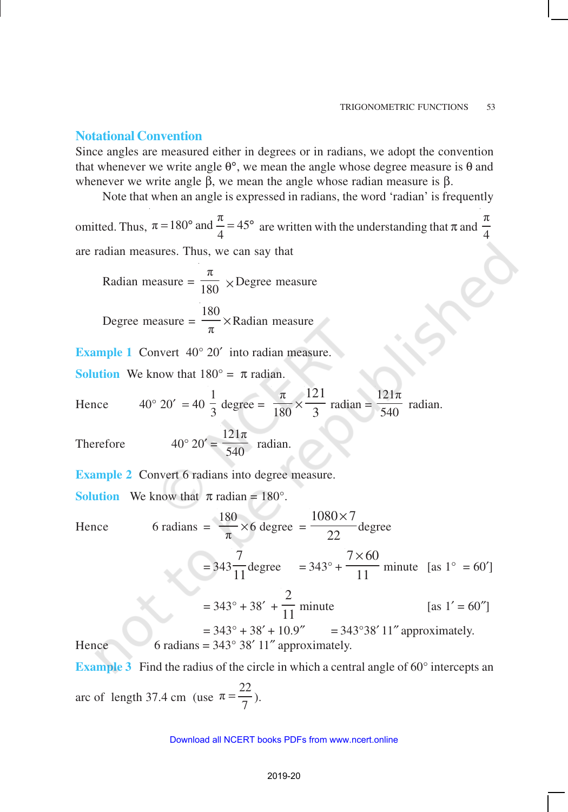### **Notational Convention**

Since angles are measured either in degrees or in radians, we adopt the convention that whenever we write angle  $θ$ °, we mean the angle whose degree measure is  $θ$  and whenever we write angle  $β$ , we mean the angle whose radian measure is  $β$ .

Note that when an angle is expressed in radians, the word 'radian' is frequently

omitted. Thus,  $\pi = 180^{\circ}$  and  $\frac{\pi}{4} = 45$ = 180° and  $\frac{\pi}{4}$  = 45° are written with the understanding that  $\pi$  and π 4 are radian measures. Thus, we can say that

Radian measure = π  $\frac{1}{180}$  × Degree measure

Degree measure = 
$$
\frac{180}{\pi}
$$
 × Radian measure

**Example 1** Convert 40° 20′ into radian measure.

**Solution** We know that  $180^\circ = \pi$  radian.

Hence 
$$
40^{\circ} 20' = 40 \frac{1}{3} \text{ degree} = \frac{\pi}{180} \times \frac{121}{3} \text{ radian} = \frac{121\pi}{540} \text{ radian}.
$$

Therefore  $40^{\circ}$ 

$$
20' = \frac{121\pi}{540} \quad \text{radian.}
$$

**Example 2** Convert 6 radians into degree measure.

**Solution** We know that  $\pi$  radian = 180°.

Hence  $6$  radians  $=$ 180  $\frac{\partial}{\partial \pi} \times 6$  degree =  $1080 \times 7$ 22 × degree = 343 7  $\frac{1}{11}$ degree = 343° +  $7 \times 60$ 11 × minute [as  $1^\circ$  = 60<sup>'</sup>]  $= 343^{\circ} + 38' +$ 2  $\frac{1}{11}$  minute [as 1' = 60"]  $= 343^{\circ} + 38' + 10.9''$   $= 343^{\circ}38' 11''$  approximately. Hence 6 radians =  $343^{\circ}$  38' 11" approximately.

**Example 3** Find the radius of the circle in which a central angle of  $60^\circ$  intercepts an

arc of length 37.4 cm (use  $\pi = \frac{22}{1}$  $=\frac{22}{7}$ ).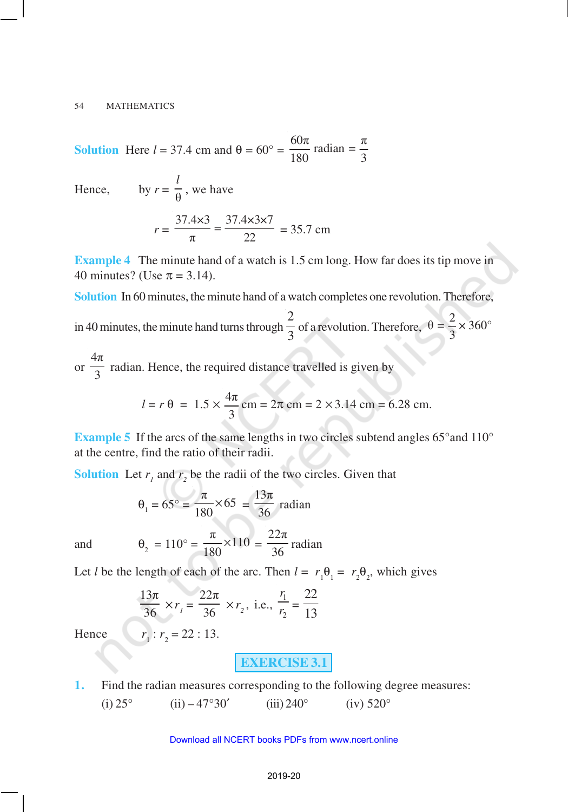**Solution** Here  $l = 37.4$  cm and  $\theta = 60^\circ = \frac{60\pi}{100}$  radian =  $\frac{\pi}{2}$ 180 3

Hence.

by 
$$
r = \frac{l}{\theta}
$$
, we have  

$$
r = \frac{37.4 \times 3}{\pi} = \frac{37.4 \times 3 \times 7}{22} = 35.7 \text{ cm}
$$

**Example 4** The minute hand of a watch is 1.5 cm long. How far does its tip move in 40 minutes? (Use  $\pi = 3.14$ ).

**Solution** In 60 minutes, the minute hand of a watch completes one revolution. Therefore,

in 40 minutes, the minute hand turns through 2  $\frac{1}{3}$  of a revolution. Therefore,  $\theta = \frac{2}{3} \times 360^{\circ}$ 3

or 4π  $\frac{1}{3}$  radian. Hence, the required distance travelled is given by

$$
l = r \theta = 1.5 \times \frac{4\pi}{3}
$$
 cm =  $2\pi$  cm =  $2 \times 3.14$  cm = 6.28 cm.

**Example 5** If the arcs of the same lengths in two circles subtend angles 65° and 110° at the centre, find the ratio of their radii.

**Solution** Let  $r_1$  and  $r_2$  be the radii of the two circles. Given that

$$
\theta_1 = 65^\circ = \frac{\pi}{180} \times 65 = \frac{13\pi}{36}
$$
 radian

and

$$
\theta_2 = 110^\circ = \frac{\pi}{180} \times 110 = \frac{22\pi}{36}
$$
 radian

Let *l* be the length of each of the arc. Then  $l = r_1 \theta_1 = r_2 \theta_2$ , which gives

$$
\frac{13\pi}{36} \times r_1 = \frac{22\pi}{36} \times r_2
$$
, i.e.,  $\frac{r_1}{r_2} = \frac{22}{13}$ 

 $r_1: r_2 = 22:13.$ 

Hence

**EXERCISE 3.1**

**1.** Find the radian measures corresponding to the following degree measures: (i)  $25^{\circ}$  (ii)  $-47^{\circ}30'$  (iii)  $240^{\circ}$  (iv)  $520^{\circ}$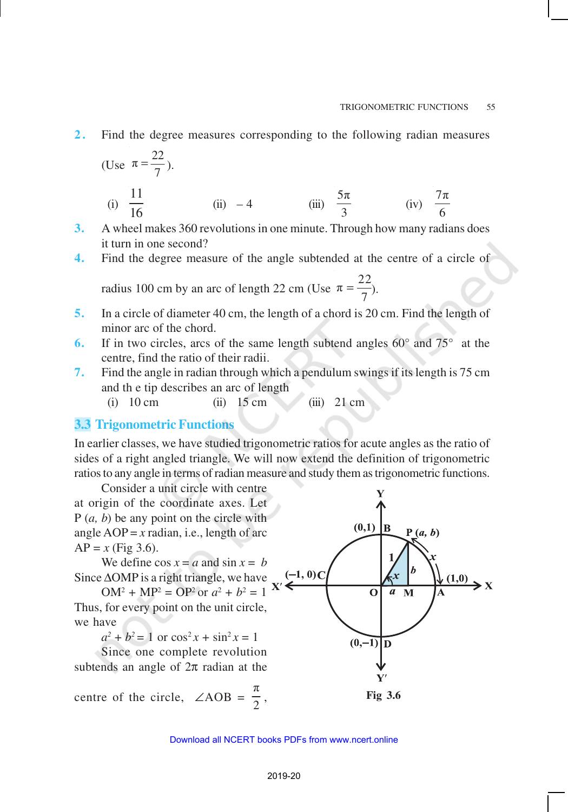**2 .** Find the degree measures corresponding to the following radian measures

(Use 
$$
\pi = \frac{22}{7}
$$
).  
\n(i)  $\frac{11}{16}$  (ii) -4 (iii)  $\frac{5\pi}{3}$  (iv)  $\frac{7\pi}{6}$ 

**3.** A wheel makes 360 revolutions in one minute. Through how many radians does it turn in one second?

**4.** Find the degree measure of the angle subtended at the centre of a circle of

radius 100 cm by an arc of length 22 cm (Use  $\pi = \frac{22}{1}$  $=\frac{22}{7}$ .

- **5.** In a circle of diameter 40 cm, the length of a chord is 20 cm. Find the length of minor arc of the chord.
- **6.** If in two circles, arcs of the same length subtend angles 60° and 75° at the centre, find the ratio of their radii.
- **7.** Find the angle in radian through which a pendulum swings if its length is 75 cm and th e tip describes an arc of length

(i) 10 cm (ii) 15 cm (iii) 21 cm

# **3.3 Trigonometric Functions**

In earlier classes, we have studied trigonometric ratios for acute angles as the ratio of sides of a right angled triangle. We will now extend the definition of trigonometric ratios to any angle in terms of radian measure and study them as trigonometric functions.

Consider a unit circle with centre at origin of the coordinate axes. Let P (*a, b*) be any point on the circle with angle  $AOP = x$  radian, i.e., length of arc  $AP = x$  (Fig 3.6).

We define  $\cos x = a$  and  $\sin x = b$ Since ∆OMP is a right triangle, we have

 $OM^2 + MP^2 = OP^2$  or  $a^2 + b^2 = 1$ Thus, for every point on the unit circle, we have

 $a^2 + b^2 = 1$  or  $\cos^2 x + \sin^2 x = 1$ 

Since one complete revolution subtends an angle of  $2\pi$  radian at the

centre of the circle,  $\angle AOB =$ π 2

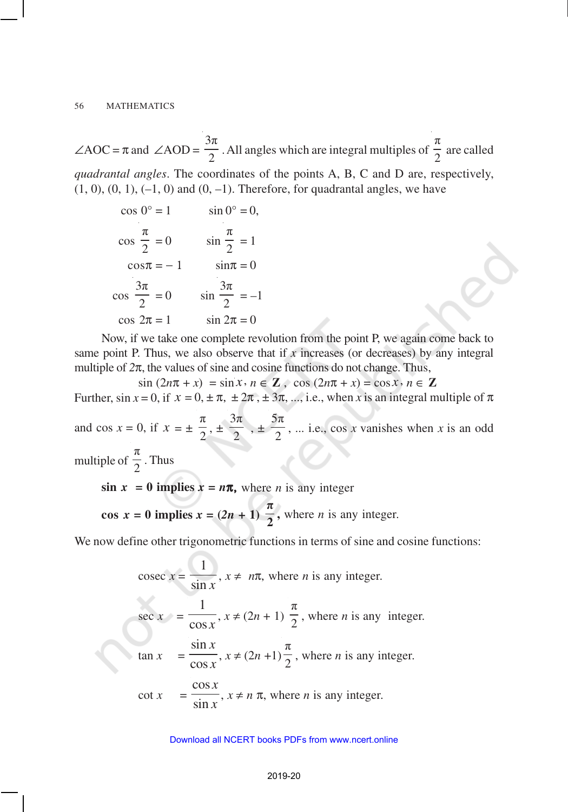$\angle AOC = \pi$  and  $\angle AOD =$ 3π  $\frac{1}{2}$ . All angles which are integral multiples of π  $\frac{1}{2}$  are called *quadrantal angles*. The coordinates of the points A, B, C and D are, respectively,  $(1, 0), (0, 1), (-1, 0)$  and  $(0, -1)$ . Therefore, for quadrantal angles, we have

$$
\cos 0^\circ = 1 \qquad \sin 0^\circ = 0,
$$
  

$$
\cos \frac{\pi}{2} = 0 \qquad \sin \frac{\pi}{2} = 1
$$
  

$$
\cos \pi = -1 \qquad \sin \pi = 0
$$
  

$$
\cos \frac{3\pi}{2} = 0 \qquad \sin \frac{3\pi}{2} = -1
$$
  

$$
\cos 2\pi = 1 \qquad \sin 2\pi = 0
$$

Now, if we take one complete revolution from the point P, we again come back to same point P. Thus, we also observe that if  $x$  increases (or decreases) by any integral multiple of  $2\pi$ , the values of sine and cosine functions do not change. Thus,

 $\sin (2n\pi + x) = \sin x$ ,  $n \in \mathbb{Z}$ ,  $\cos (2n\pi + x) = \cos x$ ,  $n \in \mathbb{Z}$ 

Further,  $\sin x = 0$ , if  $x = 0, \pm \pi, \pm 2\pi, \pm 3\pi, \ldots$ , i.e., when *x* is an integral multiple of  $\pi$ 

and cos  $x = 0$ , if  $x = \pm$ π  $\frac{1}{2}$ ,  $\pm$ 3π  $\frac{1}{2}$ ,  $\pm$ 5π  $\frac{\pi}{2}$ , ... i.e., cos *x* vanishes when *x* is an odd multiple of π  $\frac{1}{2}$ . Thus

 $\sin x = 0$  implies  $x = n\pi$ , where *n* is any integer

 $1 - 1$ 

**cos**  $x = 0$  implies  $x = (2n + 1)$ π  $\frac{1}{2}$ , where *n* is any integer.

We now define other trigonometric functions in terms of sine and cosine functions:

cosec 
$$
x = \frac{1}{\sin x}
$$
,  $x \ne n\pi$ , where *n* is any integer.  
\nsec  $x = \frac{1}{\cos x}$ ,  $x \ne (2n + 1) \frac{\pi}{2}$ , where *n* is any integer.  
\ntan  $x = \frac{\sin x}{\cos x}$ ,  $x \ne (2n + 1) \frac{\pi}{2}$ , where *n* is any integer.  
\ncot  $x = \frac{\cos x}{\sin x}$ ,  $x \ne n \pi$ , where *n* is any integer.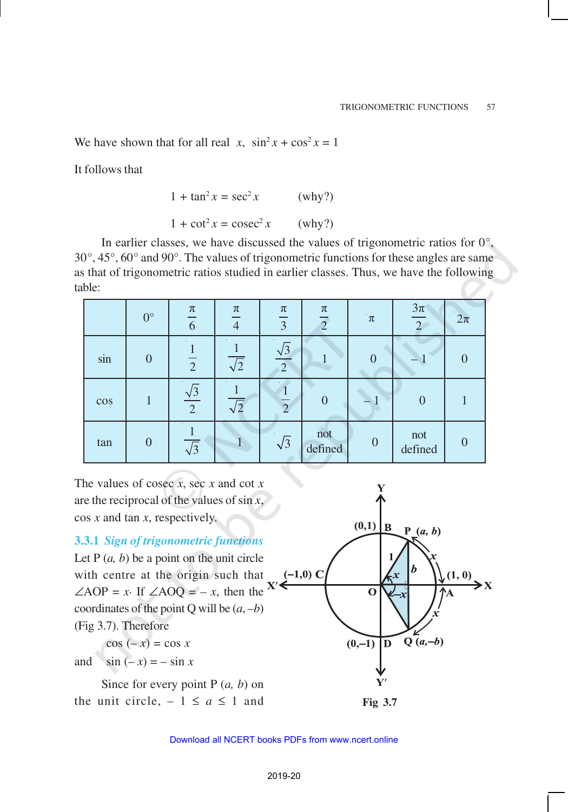We have shown that for all real *x*,  $\sin^2 x + \cos^2 x = 1$ 

It follows that

$$
1 + \tan^2 x = \sec^2 x \qquad \text{(why?)}
$$

 $1 + \cot^2 x = \csc^2 x$  (why?)

In earlier classes, we have discussed the values of trigonometric ratios for  $0^{\circ}$ , 30°, 45°, 60° and 90°. The values of trigonometric functions for these angles are same as that of trigonometric ratios studied in earlier classes. Thus, we have the following table:

|        | $0^{\circ}$ | $\pi$<br>6           | $\pi$<br>$\overline{4}$ | $\pi$<br>$\overline{3}$ | $\pi$<br>$\overline{2}$ | $\pi$    | $3\pi$<br>$\mathcal{D}$ | $2\pi$         |
|--------|-------------|----------------------|-------------------------|-------------------------|-------------------------|----------|-------------------------|----------------|
| sin    | 0           | $\overline{2}$       | $\sqrt{2}$              | $\overline{2}$          |                         | $\theta$ |                         | $\theta$       |
| $\cos$ |             | $\frac{\sqrt{3}}{2}$ | $\sqrt{2}$              | $\overline{2}$          | $\left( \right)$        |          |                         |                |
| tan    |             | $\sqrt{3}$           |                         | $\sqrt{3}$              | not<br>defined          | $\theta$ | not<br>defined          | $\overline{0}$ |

The values of cosec *x*, sec *x* and cot *x* are the reciprocal of the values of sin *x*, cos *x* and tan *x*, respectively.

## **3.3.1** *Sign of trigonometric functions*

Let  $P(a, b)$  be a point on the unit circle with centre at the origin such that  $\angle AOP = x$ . If  $\angle AOQ = -x$ , then the coordinates of the point Q will be  $(a, -b)$ (Fig 3.7). Therefore

 $\cos(-x) = \cos x$ 

and  $\sin(-x) = -\sin x$ 

Since for every point P (*a, b*) on the unit circle,  $-1 \le a \le 1$  and **Fig 3.7** 

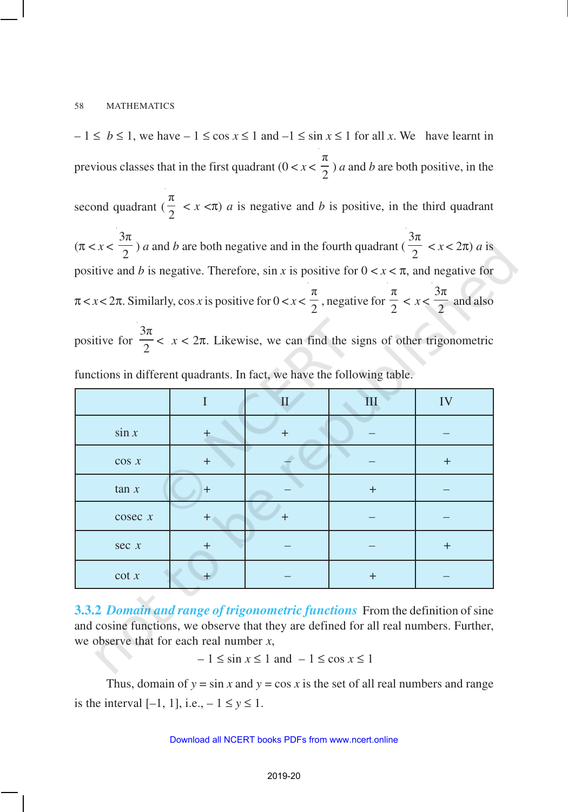$-1 \leq b \leq 1$ , we have  $-1 \leq \cos x \leq 1$  and  $-1 \leq \sin x \leq 1$  for all *x*. We have learnt in previous classes that in the first quadrant  $(0 < x <$ π  $\frac{1}{2}$ ) *a* and *b* are both positive, in the second quadrant ( π  $\frac{\pi}{2}$  < *x* <  $\pi$ ) *a* is negative and *b* is positive, in the third quadrant  $(\pi < x <$ 3π  $\frac{1}{2}$ ) *a* and *b* are both negative and in the fourth quadrant ( 3π  $\frac{\pi}{2}$  < *x* < 2 $\pi$ ) *a* is positive and *b* is negative. Therefore, sin *x* is positive for  $0 < x < \pi$ , and negative for  $\pi < x < 2\pi$ . Similarly, cos *x* is positive for  $0 < x < \pi$ π  $\frac{1}{2}$ , negative for π  $\frac{1}{2}$  < *x* <  $3\pi$  $\frac{1}{2}$  and also positive for  $3\pi$  $\frac{\pi}{2}$  <  $x$  <  $2\pi$ . Likewise, we can find the signs of other trigonometric

|          |       | $\overline{\rm II}$ | III       | IV        |
|----------|-------|---------------------|-----------|-----------|
| $\sin x$ |       | +                   |           |           |
| $\cos x$ | $+$   |                     |           | $\ddot{}$ |
| tan x    | $+$   |                     | $\ddot{}$ |           |
| cosec x  | $+$   | ۰                   |           |           |
| sec x    | $\pm$ |                     |           | $\ddot{}$ |
| $\cot x$ |       |                     | +         |           |

functions in different quadrants. In fact, we have the following table.

**3.3.2** *Domain and range of trigonometric functions* From the definition of sine and cosine functions, we observe that they are defined for all real numbers. Further, we observe that for each real number *x*,

– 1 ≤ sin *x* ≤ 1 and – 1 ≤ cos *x* ≤ 1

Thus, domain of  $y = \sin x$  and  $y = \cos x$  is the set of all real numbers and range is the interval  $[-1, 1]$ , i.e.,  $-1 \le y \le 1$ .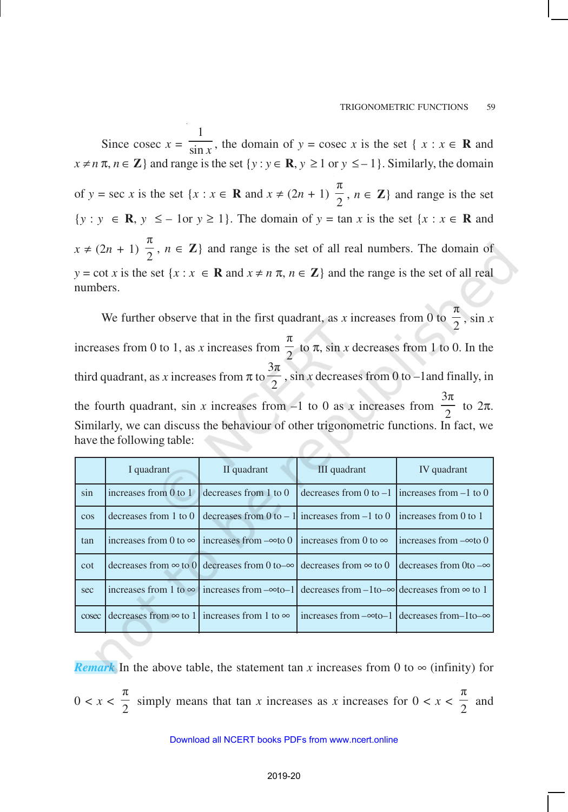Since cosec  $x =$ 1  $\frac{\sin x}{\sin x}$ , the domain of *y* = cosec *x* is the set { *x* : *x*  $\in$  **R** and  $x \neq n \pi$ ,  $n \in \mathbb{Z}$  and range is the set  $\{y : y \in \mathbb{R}, y \geq 1 \text{ or } y \leq -1\}$ . Similarly, the domain of  $y = \sec x$  is the set  $\{x : x \in \mathbf{R} \text{ and } x \neq (2n + 1)\}$ π  $\frac{\pi}{2}$ ,  $n \in \mathbb{Z}$  and range is the set {*y* : *y* ∈ **R**, *y* ≤ – 1or *y* ≥ 1}. The domain of *y* = tan *x* is the set {*x* : *x* ∈ **R** and  $x \neq (2n + 1)$ π  $\frac{\pi}{2}$ ,  $n \in \mathbb{Z}$  and range is the set of all real numbers. The domain of  $y = \cot x$  is the set  $\{x : x \in \mathbb{R} \text{ and } x \neq n \pi, n \in \mathbb{Z}\}\$  and the range is the set of all real numbers.

π We further observe that in the first quadrant, as *x* increases from 0 to  $\frac{1}{2}$ , sin *x* π increases from 0 to 1, as *x* increases from  $\frac{\pi}{2}$  to  $\pi$ , sin *x* decreases from 1 to 0. In the 3π third quadrant, as  $x$  increases from  $\pi$  to  $\frac{1}{2}$ , sin *x* decreases from 0 to –1 and finally, in  $3\pi$  $\frac{\pi}{2}$  to  $2\pi$ . the fourth quadrant, sin  $x$  increases from  $-1$  to 0 as  $x$  increases from Similarly, we can discuss the behaviour of other trigonometric functions. In fact, we have the following table:  $\overline{C}$ 

|        | I quadrant            | II quadrant                                                                                 | III quadrant                                                                                                             | IV quadrant                   |
|--------|-----------------------|---------------------------------------------------------------------------------------------|--------------------------------------------------------------------------------------------------------------------------|-------------------------------|
| sin    | increases from 0 to 1 | decreases from 1 to 0                                                                       | decreases from 0 to $-1$ lincreases from $-1$ to 0                                                                       |                               |
| $\cos$ |                       |                                                                                             | decreases from 1 to 0 decreases from 0 to – 1 increases from –1 to 0 increases from 0 to 1                               |                               |
| tan    |                       | increases from 0 to $\infty$   increases from $-\infty$ to 0   increases from 0 to $\infty$ |                                                                                                                          | increases from $-\infty$ to 0 |
| cot    |                       | decreases from $\infty$ to 0 decreases from 0 to- $\infty$ decreases from $\infty$ to 0     |                                                                                                                          | decreases from 0 to $-\infty$ |
| sec    |                       |                                                                                             | increases from 1 to $\infty$ increases from $-\infty$ to-1 decreases from $-1$ to- $\infty$ decreases from $\infty$ to 1 |                               |
| cosec  |                       | decreases from $\infty$ to 1 increases from 1 to $\infty$                                   | increases from $-\infty$ to-1 decreases from-1to- $\infty$                                                               |                               |

*Remark* In the above table, the statement tan *x* increases from 0 to  $\infty$  (infinity) for  $0 < x <$ π  $\frac{1}{2}$  simply means that tan *x* increases as *x* increases for  $0 < x <$ π  $\frac{1}{2}$  and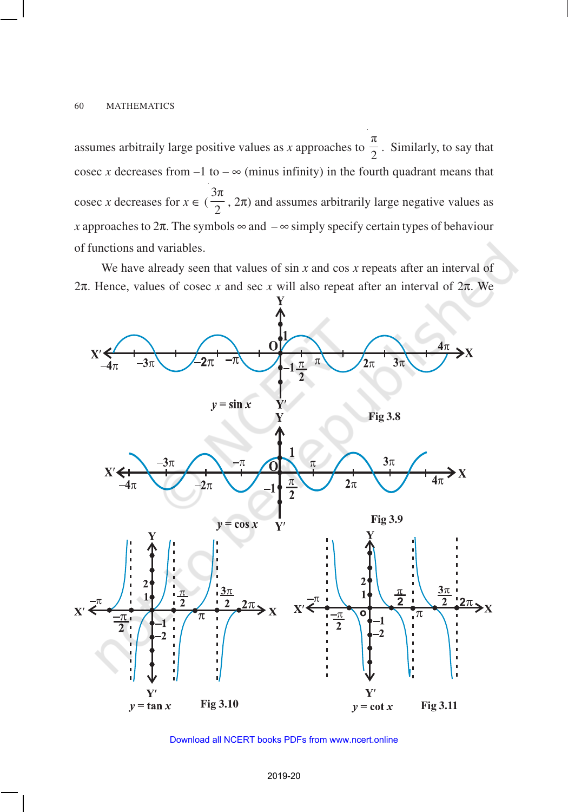assumes arbitraily large positive values as *x* approaches to π  $\frac{1}{2}$ . Similarly, to say that cosec *x* decreases from  $-1$  to  $-\infty$  (minus infinity) in the fourth quadrant means that cosec *x* decreases for  $x \in$  ( 3π  $\frac{\pi}{2}$ ,  $2\pi$ ) and assumes arbitrarily large negative values as *x* approaches to  $2\pi$ . The symbols  $\infty$  and  $-\infty$  simply specify certain types of behaviour of functions and variables.

We have already seen that values of sin *x* and cos *x* repeats after an interval of 2π. Hence, values of cosec *x* and sec *x* will also repeat after an interval of 2π. We



Download all NCERT books PDFs from [www.ncert.online](http://www.ncert.online)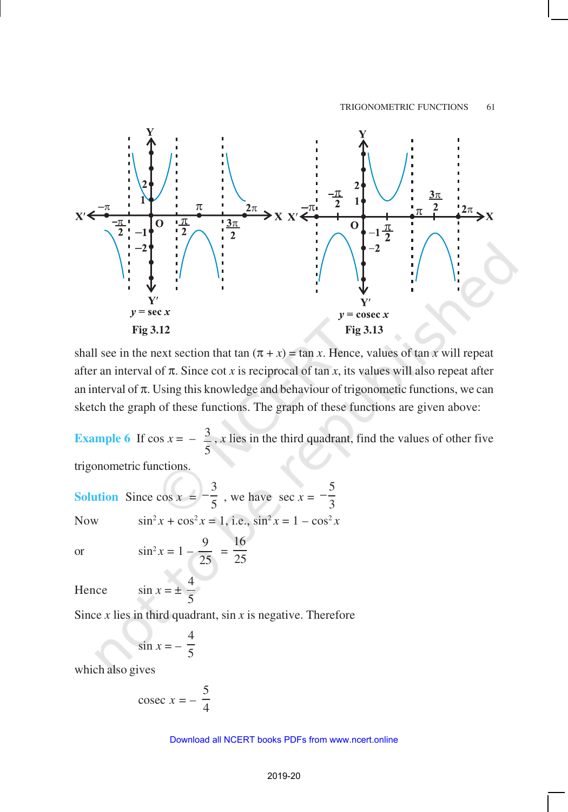

shall see in the next section that tan  $(\pi + x) = \tan x$ . Hence, values of tan *x* will repeat after an interval of  $\pi$ . Since cot *x* is reciprocal of tan *x*, its values will also repeat after an interval of  $\pi$ . Using this knowledge and behaviour of trigonometic functions, we can sketch the graph of these functions. The graph of these functions are given above:

**Example 6** If  $\cos x = -\frac{3}{x}$ 5 , *x* lies in the third quadrant, find the values of other five

trigonometric functions.

**Solution** Since  $\cos x =$ 3  $-\frac{3}{5}$ , we have sec  $x = -\frac{5}{3}$ 3 − Now  $\sin^2 x + \cos^2 x = 1$ , i.e.,  $\sin^2 x = 1 - \cos^2 x$ or  $\sin^2 x = 1 - \frac{9}{2}$ 25 = 16 25 Hence  $\sin x = \pm \frac{4}{5}$ 

5

Since *x* lies in third quadrant, sin *x* is negative. Therefore

$$
\sin x = -\frac{4}{5}
$$

which also gives

$$
cosec x = -\frac{5}{4}
$$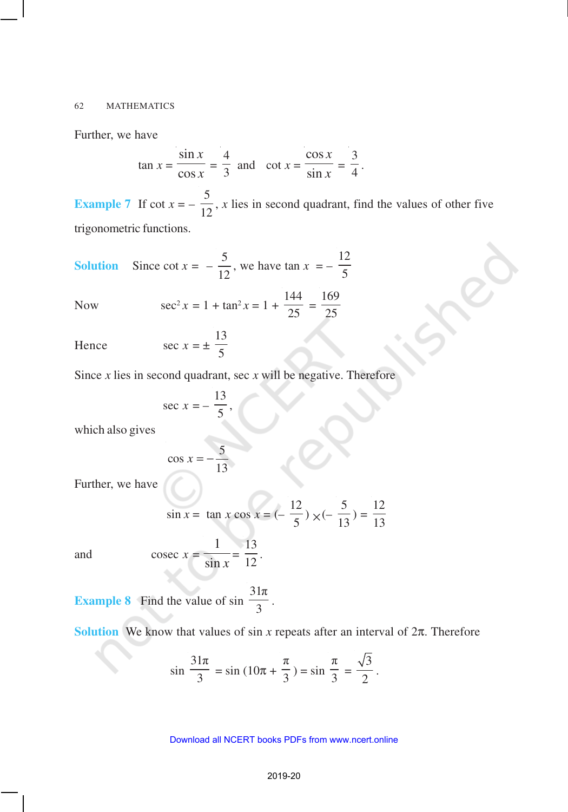Further, we have

$$
\tan x = \frac{\sin x}{\cos x} = \frac{4}{3} \text{ and } \cot x = \frac{\cos x}{\sin x} = \frac{3}{4}.
$$

**Example 7** If  $\cot x = -$ 5  $\frac{1}{12}$ , *x* lies in second quadrant, find the values of other five trigonometric functions.

**Solution** Since 
$$
\cot x = -\frac{5}{12}
$$
, we have  $\tan x = -\frac{12}{5}$ 

Now 
$$
\sec^2 x = 1 + \tan^2 x = 1 + \frac{144}{25} = \frac{169}{25}
$$

Hence 
$$
\sec x = \pm \frac{13}{5}
$$

Since  $x$  lies in second quadrant, sec  $x$  will be negative. Therefore

5

$$
\sec x = -\frac{13}{5},
$$

which also gives

$$
\cos x = -\frac{5}{13}
$$

Further, we have

$$
\sin x = \tan x \cos x = \left(-\frac{12}{5}\right) \times \left(-\frac{5}{13}\right) = \frac{12}{13}
$$

and c

$$
\csc x = \frac{1}{\sin x} = \frac{13}{12}.
$$

**Example 8** Find the value of sin  $31\pi$  $\frac{1}{3}$ .

**Solution** We know that values of sin *x* repeats after an interval of  $2\pi$ . Therefore

$$
\sin \frac{31\pi}{3} = \sin (10\pi + \frac{\pi}{3}) = \sin \frac{\pi}{3} = \frac{\sqrt{3}}{2}
$$

.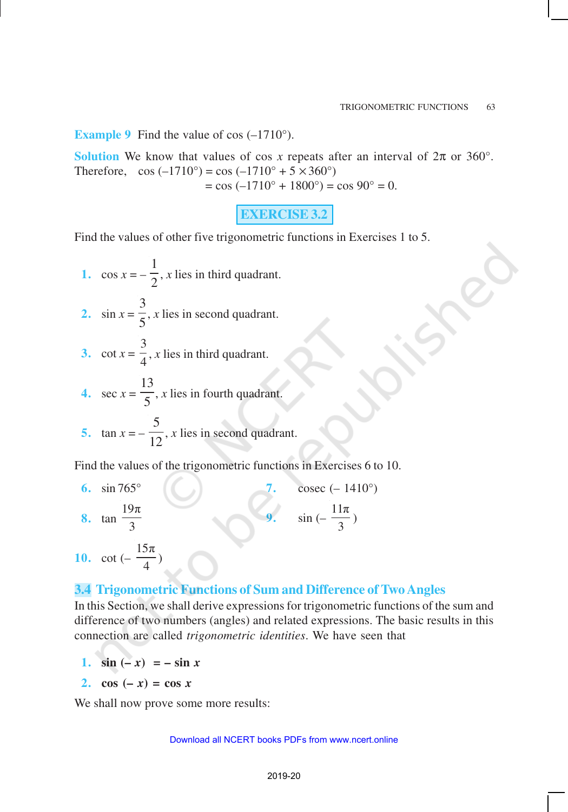**Example 9** Find the value of cos  $(-1710^{\circ})$ .

**Solution** We know that values of cos *x* repeats after an interval of  $2\pi$  or 360°. Therefore,  $\cos(-1710^\circ) = \cos(-1710^\circ + 5 \times 360^\circ)$  $=$  cos (-1710 $^{\circ}$  + 1800 $^{\circ}$ ) = cos 90 $^{\circ}$  = 0.

**EXERCISE 3.2**

Find the values of other five trigonometric functions in Exercises 1 to 5.

- 1.  $\cos x = -$ 1  $\frac{1}{2}$ , *x* lies in third quadrant. 2.  $\sin x =$ 3  $\frac{1}{5}$ , *x* lies in second quadrant. **3.**  $\cot x = \frac{1}{4}$ 3 , *x* lies in third quadrant.
- 4. sec  $x =$ 13  $\frac{\pi}{5}$ , *x* lies in fourth quadrant.
- **5.**  $\tan x = -$ 5  $\overline{12}$ , *x* lies in second quadrant.

Find the values of the trigonometric functions in Exercises 6 to 10.

**6.** sin 765° **7.** cosec (– 1410°) **8.** tan  $19\pi$ 3 **9.** sin (–  $11\pi$  $\frac{1}{3}$ ) **10.** cot (–  $15\pi$  $\frac{1}{4}$ 

# **3.4 Trigonometric Functions of Sum and Difference of Two Angles**

In this Section, we shall derive expressions for trigonometric functions of the sum and difference of two numbers (angles) and related expressions. The basic results in this connection are called *trigonometric identities*. We have seen that

- **1.**  $\sin(-x) = -\sin x$
- **2.**  $\cos(-x) = \cos x$

We shall now prove some more results: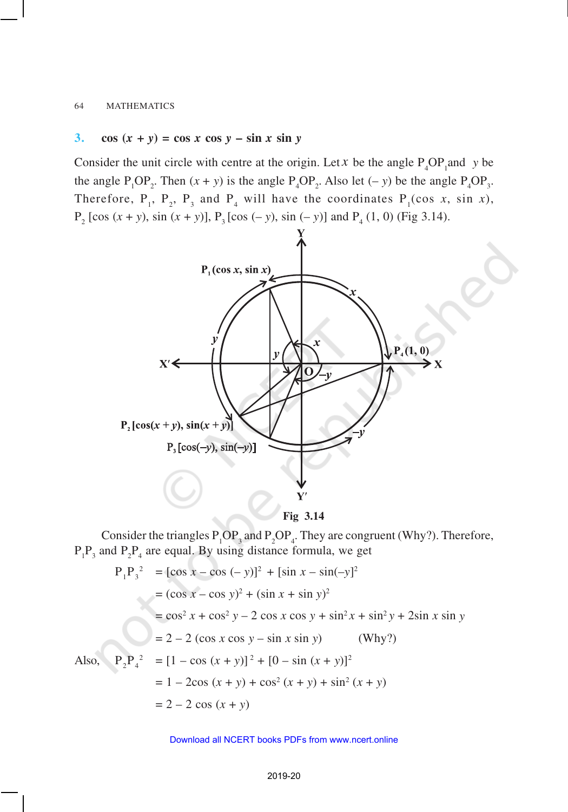### 3. **cos**  $(x + y) = \cos x \cos y - \sin x \sin y$

Consider the unit circle with centre at the origin. Let *x* be the angle  $P_4OP_1$  and *y* be the angle  $P_1OP_2$ . Then  $(x + y)$  is the angle  $P_4OP_2$ . Also let  $(-y)$  be the angle  $P_4OP_3$ . Therefore,  $P_1$ ,  $P_2$ ,  $P_3$  and  $P_4$  will have the coordinates  $P_1(\cos x, \sin x)$ ,  $P_2$  [cos (*x* + *y*), sin (*x* + *y*)],  $P_3$  [cos (– *y*), sin (– *y*)] and  $P_4$  (1, 0) (Fig 3.14).



**Fig 3.14**

Consider the triangles  $P_1OP_3$  and  $P_2OP_4$ . They are congruent (Why?). Therefore,  $P_1P_3$  and  $P_2P_4$  are equal. By using distance formula, we get

$$
P_1 P_3^2 = [\cos x - \cos (-y)]^2 + [\sin x - \sin(-y)]^2
$$
  
=  $(\cos x - \cos y)^2 + (\sin x + \sin y)^2$   
=  $\cos^2 x + \cos^2 y - 2 \cos x \cos y + \sin^2 x + \sin^2 y + 2\sin x \sin y$   
=  $2 - 2 (\cos x \cos y - \sin x \sin y)$  (Why?)  
Also,  $P_2 P_4^2 = [1 - \cos (x + y)]^2 + [0 - \sin (x + y)]^2$   
=  $1 - 2\cos (x + y) + \cos^2 (x + y) + \sin^2 (x + y)$   
=  $2 - 2 \cos (x + y)$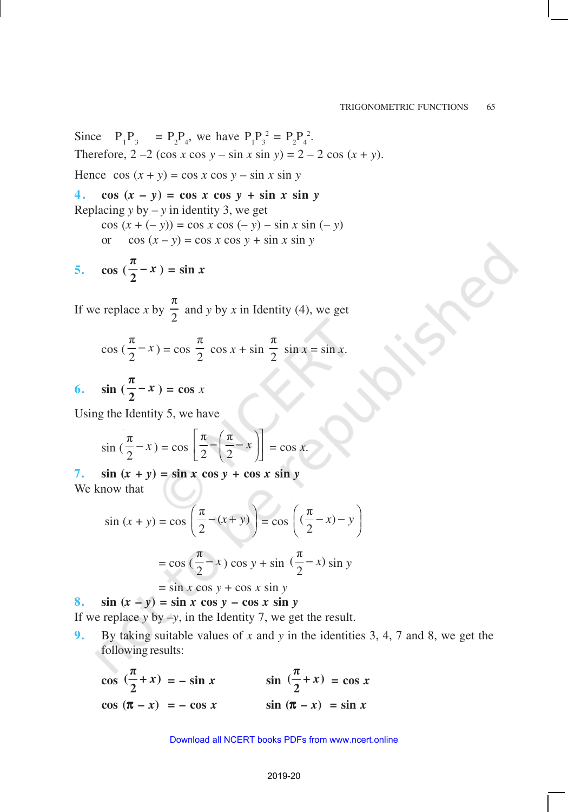Since  $P_3 = P_2 P_4$ , we have  $P_1 P_3^2 = P_2 P_4^2$ . Therefore,  $2 - 2 (\cos x \cos y - \sin x \sin y) = 2 - 2 \cos (x + y)$ . Hence  $\cos(x + y) = \cos x \cos y - \sin x \sin y$ 

4.  $\cos(x - y) = \cos x \cos y + \sin x \sin y$ Replacing  $y$  by  $-y$  in identity 3, we get cos (*x* + (– *y*)) = cos *x* cos (– *y*) – sin *x* sin (*– y*) or cos  $(x - y) = \cos x \cos y + \sin x \sin y$ π

$$
5. \quad \cos\left(\frac{\pi}{2} - x\right) = \sin x
$$

If we replace *x* by π  $\frac{1}{2}$  and *y* by *x* in Identity (4), we get

$$
\cos\left(\frac{\pi}{2} - x\right) = \cos\frac{\pi}{2}\cos x + \sin\frac{\pi}{2}\sin x = \sin x.
$$
  
6. 
$$
\sin\left(\frac{\pi}{2} - x\right) = \cos x
$$

Using the Identity 5, we have

$$
\sin\left(\frac{\pi}{2} - x\right) = \cos\left[\frac{\pi}{2} - \left(\frac{\pi}{2} - x\right)\right] = \cos x.
$$

7.  $\sin (x + y) = \sin x \cos y + \cos x \sin y$ We know that

$$
\sin(x+y) = \cos\left(\frac{\pi}{2} - (x+y)\right) = \cos\left(\left(\frac{\pi}{2} - x\right) - y\right)
$$

$$
= \cos\left(\frac{\pi}{2} - x\right)\cos y + \sin\left(\frac{\pi}{2} - x\right)\sin y
$$

 $=$  sin *x* cos  $y$  + cos *x* sin  $y$ 

8. **sin**  $(x - y) = \sin x \cos y - \cos x \sin y$ 

If we replace *y* by –*y*, in the Identity 7, we get the result.

**9.** By taking suitable values of *x* and *y* in the identities 3, 4, 7 and 8, we get the following results:

 $\cos \left(\frac{\pi}{2} + x\right)$ π  $(\frac{n}{2} + x)$ **2**  $= -\sin x$   $\sin \left(\frac{\pi}{2} + x\right)$ π  $(\frac{n}{2} + x)$  $\frac{x}{2} + x$  = cos *x* **cos**  $(\pi - x) = -\cos x$  **sin**  $(\pi - x) = \sin x$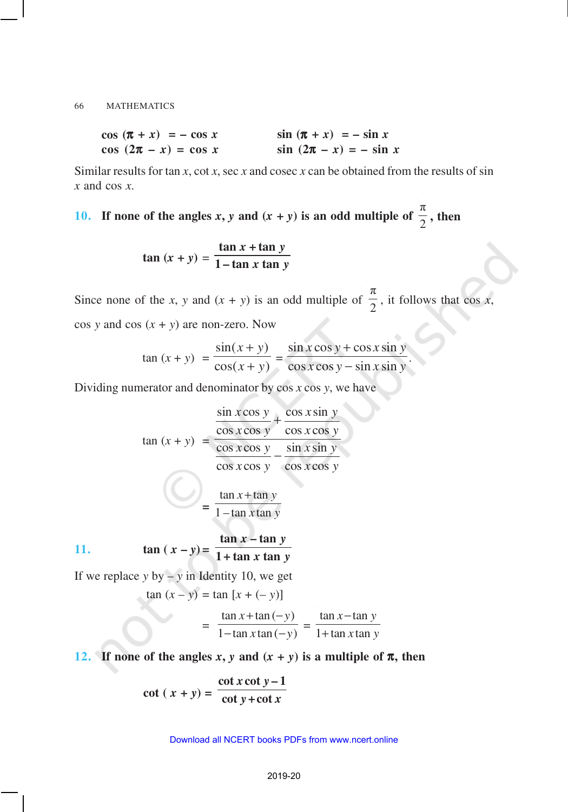| $\cos(\pi + x) = -\cos x$ | $\sin (\pi + x) = -\sin x$ |
|---------------------------|----------------------------|
| $\cos(2\pi - x) = \cos x$ | $\sin(2\pi - x) = -\sin x$ |

Similar results for tan *x*, cot *x*, sec *x* and cosec *x* can be obtained from the results of sin *x* and cos *x*.

**10. If none of the angles** *x***,** *y* **and**  $(x + y)$  **is an odd multiple of** π  $\frac{\pi}{2}$ , then

$$
\tan (x + y) = \frac{\tan x + \tan y}{1 - \tan x \tan y}
$$

Since none of the *x*, *y* and  $(x + y)$  is an odd multiple of π  $\frac{\pi}{2}$ , it follows that cos *x*,  $\cos y$  and  $\cos (x + y)$  are non-zero. Now

.

$$
\tan (x + y) = \frac{\sin(x + y)}{\cos(x + y)} = \frac{\sin x \cos y + \cos x \sin y}{\cos x \cos y - \sin x \sin y}
$$

Dividing numerator and denominator by cos *x* cos *y*, we have

$$
\tan (x + y) = \frac{\frac{\sin x \cos y}{\cos x \cos y} + \frac{\cos x \sin y}{\cos x \cos y}}{\frac{\cos x \cos y}{\cos x \cos y} - \frac{\sin x \sin y}{\cos x \cos y}}
$$

$$
= \frac{\tan x + \tan y}{1 - \tan x \tan y}
$$

11. 
$$
\tan (x - y) = \frac{\tan x - \tan y}{1 + \tan x \tan y}
$$

If we replace  $y$  by  $-y$  in Identity 10, we get  $\tan (x - y) = \tan [x + (-y)]$ 

$$
= \frac{\tan x + \tan (-y)}{1 - \tan x \tan (-y)} = \frac{\tan x - \tan y}{1 + \tan x \tan y}
$$

**12. If none of the angles** *x***,** *y* **and**  $(x + y)$  **is a multiple of**  $\pi$ **, then** 

$$
\cot (x + y) = \frac{\cot x \cot y - 1}{\cot y + \cot x}
$$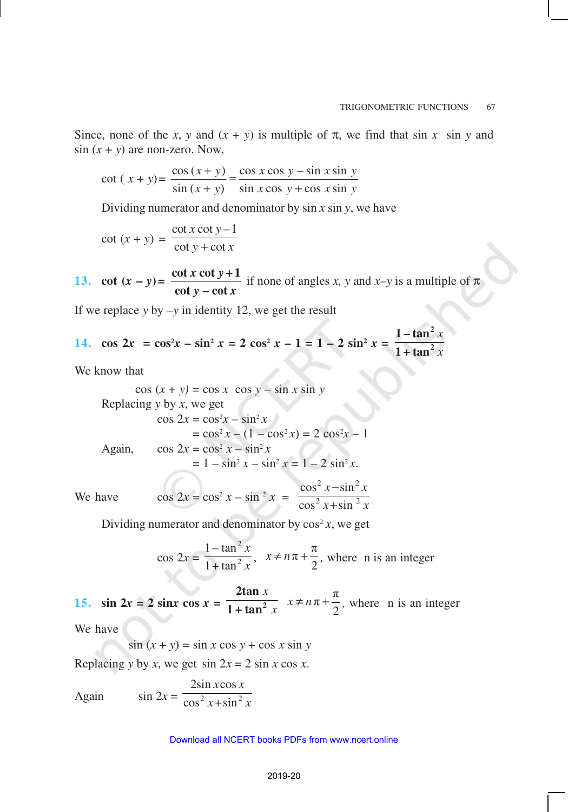Since, none of the *x*, *y* and  $(x + y)$  is multiple of  $\pi$ , we find that sin *x* sin *y* and  $\sin (x + y)$  are non-zero. Now,

$$
\cot (x + y) = \frac{\cos (x + y)}{\sin (x + y)} = \frac{\cos x \cos y - \sin x \sin y}{\sin x \cos y + \cos x \sin y}
$$

Dividing numerator and denominator by sin *x* sin *y*, we have

$$
\cot(x + y) = \frac{\cot x \cot y - 1}{\cot y + \cot x}
$$

13. **cot**  $(x - y) = \frac{\cot x \cot y}{1}$  $y - \cot x$  $\cot x \cot y + 1$  $\cot y - \cot y$ if none of angles *x*, *y* and *x*-*y* is a multiple of  $\pi$ 

If we replace  $y$  by  $-y$  in identity 12, we get the result

14. 
$$
\cos 2x = \cos^2 x - \sin^2 x = 2 \cos^2 x - 1 = 1 - 2 \sin^2 x = \frac{1 - \tan^2 x}{1 + \tan^2 x}
$$

We know that

$$
\cos (x + y) = \cos x \cos y - \sin x \sin y
$$
  
Replacing y by x, we get  

$$
\cos 2x = \cos^2 x - \sin^2 x
$$

$$
= \cos^2 x - (1 - \cos^2 x) = 2 \cos^2 x - 1
$$
  
Again, 
$$
\cos 2x = \cos^2 x - \sin^2 x
$$

$$
= 1 - \sin^2 x - \sin^2 x = 1 - 2 \sin^2 x.
$$

We have  $\cos 2x = \cos^2 x - \sin^2 x =$  $2 \times \sin^2$  $2 \times 1$  ain  $^2$  $\cos^2 x - \sin x$  $\cos^2 x + \sin x$  $x - \sin^2 x$  $x + \sin^2 x$ − +

Dividing numerator and denominator by  $\cos^2 x$ , we get

$$
\cos 2x = \frac{1 - \tan^2 x}{1 + \tan^2 x}, \quad x \neq n\pi + \frac{\pi}{2}, \text{ where } n \text{ is an integer}
$$

15.  $\sin 2x = 2 \sin x \cos x = 1$ *x x* **2 2tan 1 + tan**  $\pi + \frac{\pi}{4}$  $x \neq n\pi + \frac{\pi}{2}$ , where n is an integer

We have

$$
\sin(x + y) = \sin x \cos y + \cos x \sin y
$$

Replacing *y* by *x*, we get  $\sin 2x = 2 \sin x \cos x$ .

Again  $\sin 2x = \frac{2}{\cos^2 x + \sin^2 x}$  $2\sin x \cos$  $\cos^2 x + \sin x$ *x x*  $x + \sin^2 x$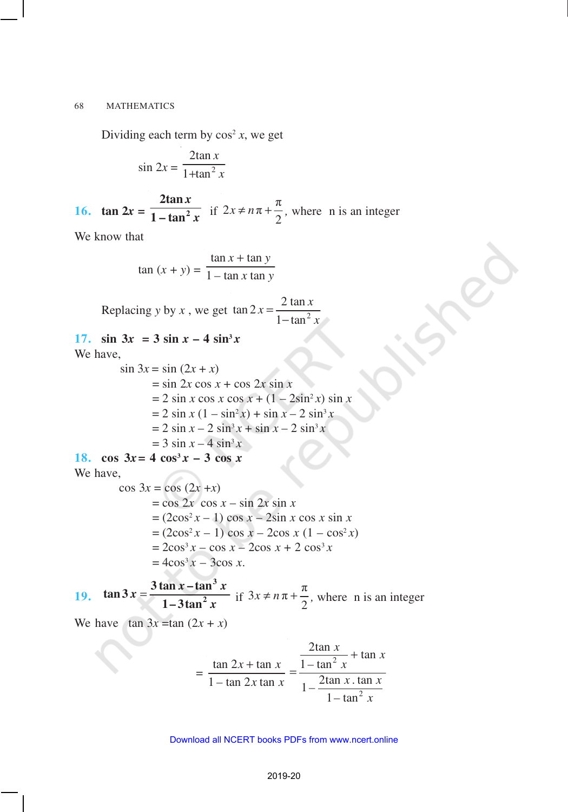Dividing each term by  $\cos^2 x$ , we get

$$
\sin 2x = \frac{2 \tan x}{1 + \tan^2 x}
$$

**16. tan 2***x* **=** *x x* **2 2tan**  $\frac{1 - \tan^2 x}{1 - \tan^2 x}$  if  $2x \neq n\pi + \frac{\pi}{2}$  $x \neq n\pi + \frac{\pi}{2}$ , where n is an integer

We know that

$$
\tan(x + y) = \frac{\tan x + \tan y}{1 - \tan x \tan y}
$$

Replacing *y* by *x*, we get  $\tan 2x = \frac{2 \tan x}{1 + \tan^2 x}$  $1 - \tan$  $x = \frac{2 \tan x}{2}$ *x* = −

### 17.  $\sin 3x = 3 \sin x - 4 \sin^3 x$ We have,

 $\sin 3x = \sin (2x + x)$  $=$  sin 2*x* cos *x* + cos 2*x* sin *x*  $= 2 \sin x \cos x \cos x + (1 - 2\sin^2 x) \sin x$  $= 2 \sin x (1 - \sin^2 x) + \sin x - 2 \sin^3 x$  $= 2 \sin x - 2 \sin^3 x + \sin x - 2 \sin^3 x$  $= 3 \sin x - 4 \sin^3 x$ 

# 18.  $\cos 3x = 4 \cos^3 x - 3 \cos x$

We have,

$$
\cos 3x = \cos (2x + x)
$$
  
= cos 2x cos x - sin 2x sin x  
= (2cos<sup>2</sup> x - 1) cos x - 2sin x cos x sin x  
= (2cos<sup>2</sup> x - 1) cos x - 2cos x (1 - cos<sup>2</sup> x)  
= 2cos<sup>3</sup> x - cos x - 2cos x + 2 cos<sup>3</sup> x  
= 4cos<sup>3</sup> x - 3cos x.

**19.**  $\tan 3x = \frac{3 \tan x - \tan^3 x}{1 - 3 \tan^2 x}$ *x* **3**  $\tan 3x = \frac{3 \tan x - \tan^2 x}{1 - 3 \tan^2 x}$  $\frac{1-3\tan^2 x}{\tan^2 x}$  if  $3x \neq n\pi + \frac{\pi}{2}$  $x \neq n\pi + \frac{\pi}{2}$ , where n is an integer

We have  $\tan 3x = \tan (2x + x)$ 

$$
= \frac{\tan 2x + \tan x}{1 - \tan 2x \tan x} = \frac{\frac{2 \tan x}{1 - \tan^2 x} + \tan x}{1 - \frac{2 \tan x \cdot \tan x}{1 - \tan^2 x}}
$$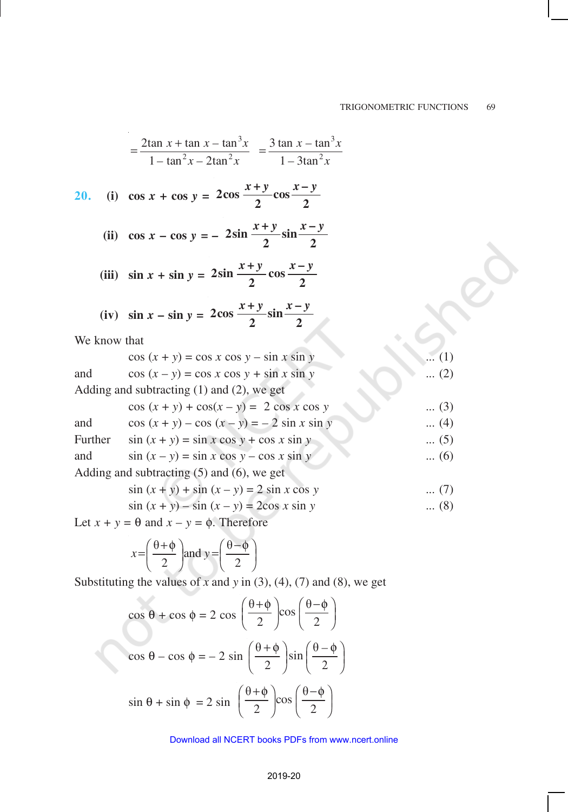$$
= \frac{2 \tan x + \tan x - \tan^3 x}{1 - \tan^2 x - 2 \tan^2 x} = \frac{3 \tan x - \tan^3 x}{1 - 3 \tan^2 x}
$$
  
20. (i)  $\cos x + \cos y = 2 \cos \frac{x + y}{2} \cos \frac{x - y}{2}$   
(ii)  $\cos x - \cos y = -2 \sin \frac{x + y}{2} \sin \frac{x - y}{2}$   
(iii)  $\sin x + \sin y = 2 \sin \frac{x + y}{2} \cos \frac{x - y}{2}$   
(iv)  $\sin x - \sin y = 2 \cos \frac{x + y}{2} \sin \frac{x - y}{2}$   
We know that  
 $\cos (x + y) = \cos x \cos y - \sin x \sin y$  .... (1)  
and  
 $\cos (x - y) = \cos x \cos y + \sin x \sin y$  .... (2)  
Adding and subtracting (1) and (2), we get  
 $\cos (x + y) + \cos(x - y) = 2 \cos x \cos y$  .... (3)  
and  
 $\cos (x + y) - \cos (x - y) = -2 \sin x \sin y$  .... (4)  
Further  $\sin (x + y) = \sin x \cos y + \cos x \sin y$  .... (5)  
and  
Adding and subtracting (5) and (6), we get  
 $\sin (x + y) + \sin (x - y) = 2 \sin x \cos y$  .... (7)  
 $\sin (x + y) - \sin (x - y) = 2 \cos x \sin y$  .... (8)

Let  $x + y = \theta$  and  $x - y = \phi$ . Therefore

$$
x = \left(\frac{\theta + \phi}{2}\right) \text{ and } y = \left(\frac{\theta - \phi}{2}\right)
$$

Substituting the values of  $x$  and  $y$  in (3), (4), (7) and (8), we get

$$
\cos \theta + \cos \phi = 2 \cos \left(\frac{\theta + \phi}{2}\right) \cos \left(\frac{\theta - \phi}{2}\right)
$$

$$
\cos \theta - \cos \phi = -2 \sin \left(\frac{\theta + \phi}{2}\right) \sin \left(\frac{\theta - \phi}{2}\right)
$$

$$
\sin \theta + \sin \phi = 2 \sin \left(\frac{\theta + \phi}{2}\right) \cos \left(\frac{\theta - \phi}{2}\right)
$$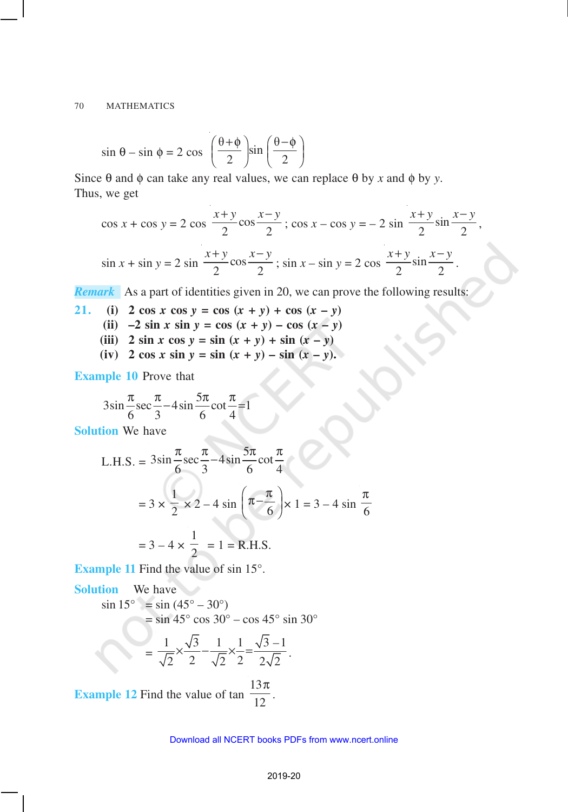$$
\sin \theta - \sin \phi = 2 \cos \left( \frac{\theta + \phi}{2} \right) \sin \left( \frac{\theta - \phi}{2} \right)
$$

Since  $θ$  and  $φ$  can take any real values, we can replace  $θ$  by *x* and  $φ$  by *y*. Thus, we get

$$
\cos x + \cos y = 2 \cos \frac{x+y}{2} \cos \frac{x-y}{2}; \cos x - \cos y = -2 \sin \frac{x+y}{2} \sin \frac{x-y}{2},
$$
  

$$
\sin x + \sin y = 2 \sin \frac{x+y}{2} \cos \frac{x-y}{2}; \sin x - \sin y = 2 \cos \frac{x+y}{2} \sin \frac{x-y}{2}.
$$

*Remark* As a part of identities given in 20, we can prove the following results:

21. (i) 
$$
2 \cos x \cos y = \cos (x + y) + \cos (x - y)
$$

- (ii)  $-2 \sin x \sin y = \cos (x + y) \cos (x y)$
- (iii) **2** sin *x* cos  $y = \sin (x + y) + \sin (x y)$
- $f(x) = 2 \cos x \sin y = \sin (x + y) \sin (x y).$

**Example 10** Prove that

$$
3\sin\frac{\pi}{6}\sec\frac{\pi}{3}-4\sin\frac{5\pi}{6}\cot\frac{\pi}{4}=1
$$

**Solution** We have

L.H.S. = 
$$
3\sin\frac{\pi}{6}\sec\frac{\pi}{3} - 4\sin\frac{5\pi}{6}\cot\frac{\pi}{4}
$$
  
=  $3 \times \frac{1}{2} \times 2 - 4\sin\left(\pi - \frac{\pi}{6}\right) \times 1 = 3 - 4\sin\frac{\pi}{6}$   
=  $3 - 4 \times \frac{1}{2} = 1 = \text{R.H.S.}$ 

**Example 11** Find the value of sin 15°.

**Solution** We have  $\sin 15^{\circ} = \sin (45^{\circ} - 30^{\circ})$  $=$  sin 45 $\degree$  cos 30 $\degree$  – cos 45 $\degree$  sin 30 $\degree$ =  $1 \times \sqrt{3}$  1 1  $\sqrt{3}$  -1 2 2  $\sqrt{2}$  2  $2\sqrt{2}$  $\times \frac{\sqrt{3}}{2} - \frac{1}{\sqrt{2}} \times \frac{1}{2} = \frac{\sqrt{3}-1}{2\sqrt{2}}$ . 13 π

**Example 12** Find the value of tan 12 .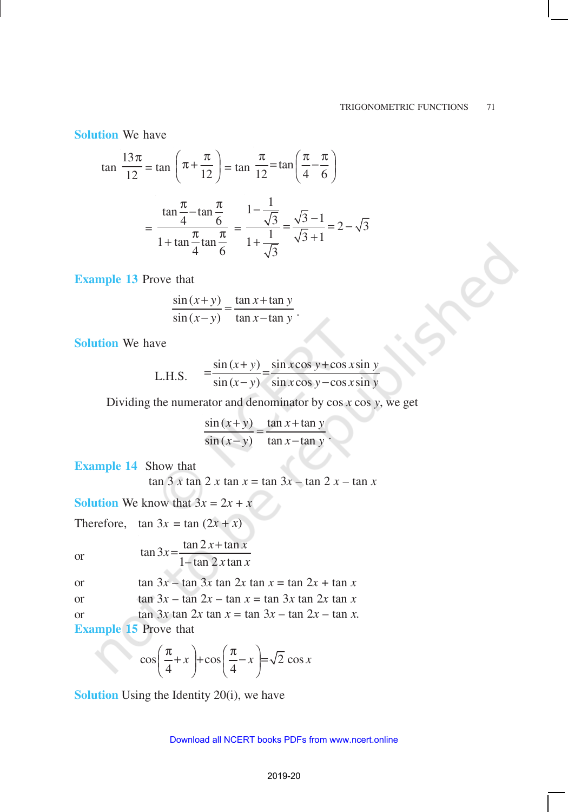**Solution** We have

$$
\tan \frac{13\pi}{12} = \tan \left(\pi + \frac{\pi}{12}\right) = \tan \frac{\pi}{12} = \tan \left(\frac{\pi}{4} - \frac{\pi}{6}\right)
$$

$$
= \frac{\tan \frac{\pi}{4} - \tan \frac{\pi}{6}}{1 + \tan \frac{\pi}{4} \tan \frac{\pi}{6}} = \frac{1 - \frac{1}{\sqrt{3}}}{1 + \frac{1}{\sqrt{3}}} = \frac{\sqrt{3} - 1}{\sqrt{3} + 1} = 2 - \sqrt{3}
$$

**Example 13** Prove that

$$
\frac{\sin(x+y)}{\sin(x-y)} = \frac{\tan x + \tan y}{\tan x - \tan y}.
$$

**Solution** We have

L.H.S. 
$$
= \frac{\sin (x+y)}{\sin (x-y)} = \frac{\sin x \cos y + \cos x \sin y}{\sin x \cos y - \cos x \sin y}
$$

Dividing the numerator and denominator by cos *x* cos *y*, we get

 $\sin(x+y)$  tan x + tan y  $\sin (x - y)$  $(x - y)$  tan  $x$  - tan  $y$ = .

**Example 14** Show that

 $\tan 3 x \tan 2 x \tan x = \tan 3x - \tan 2 x - \tan x$ 

**Solution** We know that  $3x = 2x + x$ 

Therefore,  $\tan 3x = \tan (2x + x)$ 

or

$$
\tan 3x = \frac{\tan 2x + \tan x}{1 - \tan 2x \tan x}
$$

| or | $\tan 3x - \tan 3x \tan 2x \tan x = \tan 2x + \tan x$ |  |
|----|-------------------------------------------------------|--|
|    |                                                       |  |

or tan  $3x - \tan 2x - \tan x = \tan 3x \tan 2x \tan x$ 

or tan  $3x \tan 2x \tan x = \tan 3x - \tan 2x - \tan x$ .

**Example 15** Prove that

$$
\cos\left(\frac{\pi}{4} + x\right) + \cos\left(\frac{\pi}{4} - x\right) = \sqrt{2}\cos x
$$

**Solution** Using the Identity 20(i), we have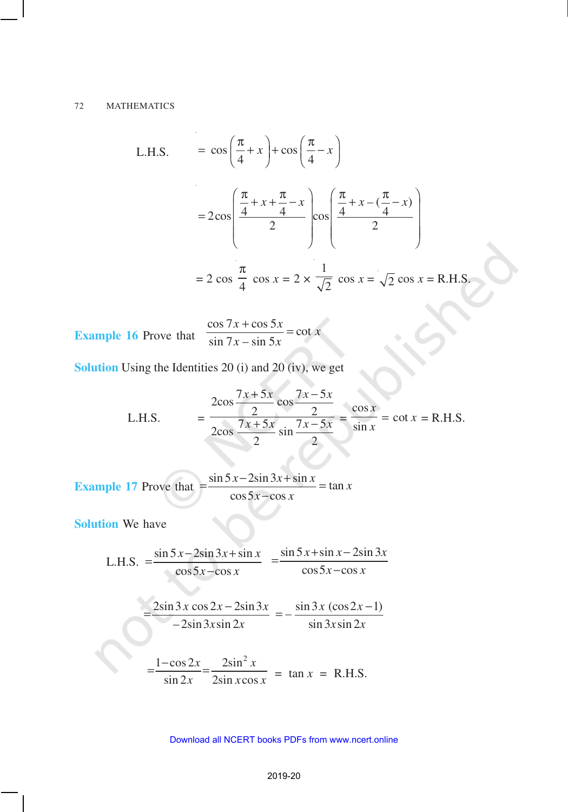#### 72 MATHEMATICS

L.H.S. 
$$
= \cos\left(\frac{\pi}{4} + x\right) + \cos\left(\frac{\pi}{4} - x\right)
$$

$$
= 2\cos\left(\frac{\frac{\pi}{4} + x + \frac{\pi}{4} - x}{2}\right) \cos\left(\frac{\frac{\pi}{4} + x - (\frac{\pi}{4} - x)}{2}\right)
$$

$$
= 2\cos\frac{\pi}{4}\cos x = 2 \times \frac{1}{\sqrt{2}}\cos x = \sqrt{2}\cos x = \text{R.H.S.}
$$

**Example 16** Prove that  $\cos 7x + \cos 5$  $= \cot x$  $\sin 7x - \sin 5$  $x + \cos 5x$  $x - \sin 5x$ +

**Solution** Using the Identities 20 (i) and 20 (iv), we get

L.H.S. 
$$
= \frac{2\cos\frac{7x+5x}{2}\cos\frac{7x-5x}{2}}{2\cos\frac{7x+5x}{2}\sin\frac{7x-5x}{2}} = \frac{\cos x}{\sin x} = \cot x = \text{R.H.S.}
$$

**Example 17** Prove that tan *x*  $\cos 5x - \cos x$  $=\frac{\sin 5x - 2\sin 3x + \sin x}{5}$ 

**Solution** We have

L.H.S. 
$$
= \frac{\sin 5x - 2\sin 3x + \sin x}{\cos 5x - \cos x} = \frac{\sin 5x + \sin x - 2\sin 3x}{\cos 5x - \cos x}
$$

$$
=\frac{2\sin 3x \cos 2x - 2\sin 3x}{-2\sin 3x \sin 2x} = -\frac{\sin 3x (\cos 2x - 1)}{\sin 3x \sin 2x}
$$

$$
=\frac{1-\cos 2x}{\sin 2x}=\frac{2\sin^2 x}{2\sin x \cos x} = \tan x = \text{R.H.S.}
$$

#### 2019-20 Download all NCERT books PDFs from [www.ncert.online](http://www.ncert.online)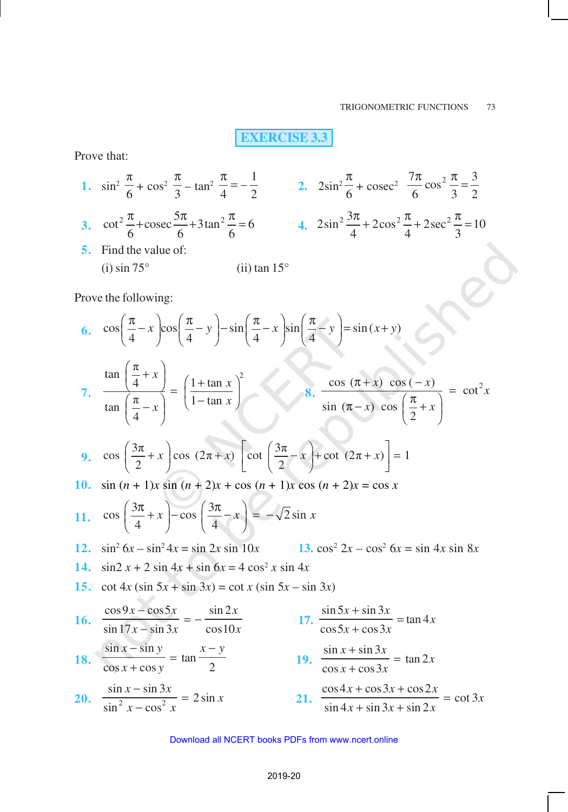# **EXERCISE 3.3**

Prove that:

1. 
$$
\sin^2 \frac{\pi}{6} + \cos^2 \frac{\pi}{3} - \tan^2 \frac{\pi}{4} = -\frac{1}{2}
$$
  
\n2.  $2\sin^2 \frac{\pi}{6} + \csc^2 \frac{7\pi}{6} \cos^2 \frac{\pi}{3} = \frac{3}{2}$   
\n3.  $\cot^2 \frac{\pi}{6} + \csc \frac{5\pi}{6} + 3\tan^2 \frac{\pi}{6} = 6$   
\n4.  $2\sin^2 \frac{3\pi}{4} + 2\cos^2 \frac{\pi}{4} + 2\sec^2 \frac{\pi}{3} = 10$   
\n5. Find the value of:  
\n(i)  $\sin 75^\circ$   
\n(ii)  $\tan 15^\circ$ 

Prove the following:

6. 
$$
\cos\left(\frac{\pi}{4} - x\right)\cos\left(\frac{\pi}{4} - y\right) - \sin\left(\frac{\pi}{4} - x\right)\sin\left(\frac{\pi}{4} - y\right) = \sin(x + y)
$$

7. 
$$
\frac{\tan\left(\frac{\pi}{4}+x\right)}{\tan\left(\frac{\pi}{4}-x\right)} = \left(\frac{1+\tan x}{1-\tan x}\right)^2
$$
8. 
$$
\frac{\cos(\pi+x)\cos(-x)}{\sin(\pi-x)\cos\left(\frac{\pi}{2}+x\right)} = \cot^2 x
$$

9. 
$$
\cos\left(\frac{3\pi}{2}+x\right)\cos\left(2\pi+x\right)\left[\cot\left(\frac{3\pi}{2}-x\right)+\cot\left(2\pi+x\right)\right]=1
$$

10.  $\sin (n + 1)x \sin (n + 2)x + \cos (n + 1)x \cos (n + 2)x = \cos x$ 

$$
11. \quad \cos\left(\frac{3\pi}{4} + x\right) - \cos\left(\frac{3\pi}{4} - x\right) = -\sqrt{2}\sin x
$$

- **12.**  $\sin^2 6x \sin^2 4x = \sin 2x \sin 10x$  **13.**  $\cos^2 2x \cos^2 6x = \sin 4x \sin 8x$
- **14.**  $\sin 2 x + 2 \sin 4x + \sin 6x = 4 \cos^2 x \sin 4x$
- **15.** cot  $4x (\sin 5x + \sin 3x) = \cot x (\sin 5x \sin 3x)$

16. 
$$
\frac{\cos 9x - \cos 5x}{\sin 17x - \sin 3x} = -\frac{\sin 2x}{\cos 10x}
$$
  
\n17. 
$$
\frac{\sin 5x + \sin 3x}{\cos 5x + \cos 3x} = \tan 4x
$$
  
\n18. 
$$
\frac{\sin x - \sin y}{\cos x + \cos y} = \tan \frac{x - y}{2}
$$
  
\n19. 
$$
\frac{\sin x + \sin 3x}{\cos x + \cos 3x} = \tan 2x
$$
  
\n20. 
$$
\frac{\sin x - \sin 3x}{\sin^2 x - \cos^2 x} = 2 \sin x
$$
  
\n21. 
$$
\frac{\cos 4x + \cos 3x + \cos 2x}{\sin 4x + \sin 3x + \sin 2x} = \cot 3x
$$

#### 2019-20 Download all NCERT books PDFs from [www.ncert.online](http://www.ncert.online)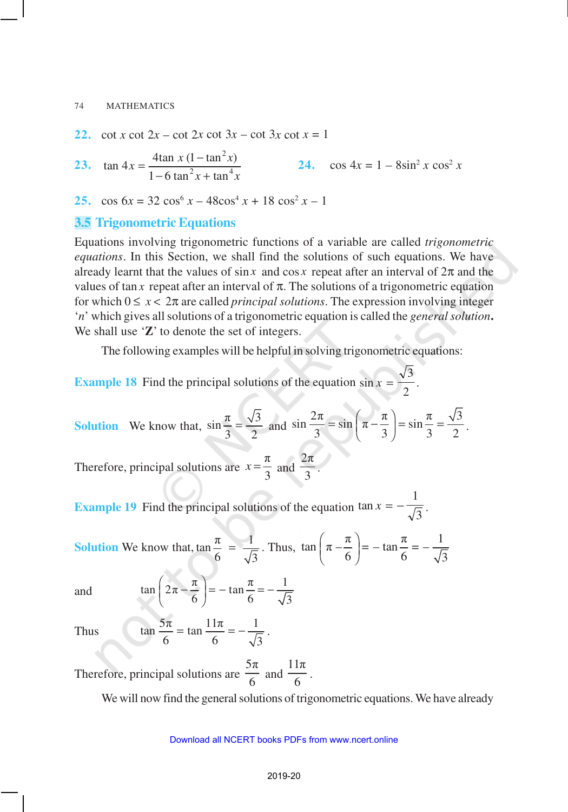**22.** cot *x* cot  $2x - \cot 2x \cot 3x - \cot 3x \cot x = 1$ 

**23.** 2  $\tan 4x = \frac{4\tan x (1-\tan^2 x)}{1-6\tan^2 x + \tan^4 x}$  $1 - 6 \tan^2 x + \tan$  $x = \frac{4\tan x (1-\tan^2 x)}{x^2}$  $x + \tan^4 x$  $=\frac{4\tan x (1-}{2}$  $-6 \tan^2 x +$ **24.**  $\cos 4x = 1 - 8\sin^2 x \cos^2 x$ 

**25.**  $\cos 6x = 32 \cos^6 x - 48 \cos^4 x + 18 \cos^2 x - 1$ 

### **3.5 Trigonometric Equations**

Equations involving trigonometric functions of a variable are called *trigonometric equations*. In this Section, we shall find the solutions of such equations. We have already learnt that the values of  $\sin x$  and  $\cos x$  repeat after an interval of  $2\pi$  and the values of tan *x* repeat after an interval of  $\pi$ . The solutions of a trigonometric equation for which  $0 \leq x < 2\pi$  are called *principal solutions*. The expression involving integer '*n*' which gives all solutions of a trigonometric equation is called the *general solution***.** We shall use '**Z**' to denote the set of integers.

The following examples will be helpful in solving trigonometric equations:

**Example 18** Find the principal solutions of the equation  $\sin x = \frac{\sqrt{3}}{2}$ 2 .

**Solution** We know that, 
$$
\sin \frac{\pi}{3} = \frac{\sqrt{3}}{2}
$$
 and  $\sin \frac{2\pi}{3} = \sin \left( \pi - \frac{\pi}{3} \right) = \sin \frac{\pi}{3} = \frac{\sqrt{3}}{2}$ .

Therefore, principal solutions are π  $x = \frac{\pi}{3}$  and 2π  $\frac{1}{3}$ .

**Example 19** Find the principal solutions of the equation tan  $x = -\frac{1}{6}$  $\frac{1}{3}$ .

**Solution** We know that,  $\tan \frac{\pi}{6} = \frac{1}{6}$ 6  $\sqrt{3}$  $=\frac{1}{\sqrt{2}}$ . Thus,  $\tan \left(\pi - \frac{\pi}{\sqrt{2}}\right) = -\tan \frac{\pi}{\sqrt{2}} = -\frac{1}{\sqrt{2}}$  $\left(\pi - \frac{\pi}{6}\right) = -\tan \frac{\pi}{6} = -\frac{1}{\sqrt{3}}$ 

and

$$
\tan\left(2\pi - \frac{\pi}{6}\right) = -\tan\frac{\pi}{6} = -\frac{1}{\sqrt{3}}
$$

6 6  $\sqrt{3}$  $= \tan \frac{11\pi}{6} = -\frac{1}{\sqrt{2}}$ .

Thus  $\tan \frac{5\pi}{6} = \tan \frac{11\pi}{6} = -\frac{1}{6}$ 

Therefore, principal solutions are 5π  $\frac{1}{6}$  and  $11\pi$  $\frac{1}{6}$ .

We will now find the general solutions of trigonometric equations. We have already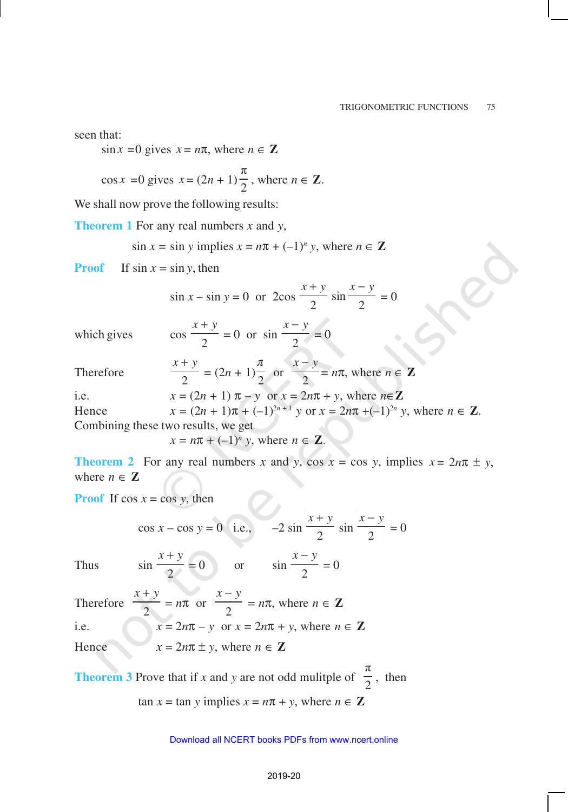seen that:

 $\sin x = 0$  gives  $x = n\pi$ , where  $n \in \mathbb{Z}$ 

$$
\cos x = 0
$$
 gives  $x = (2n + 1)\frac{\pi}{2}$ , where  $n \in \mathbb{Z}$ .

We shall now prove the following results:

**Theorem 1** For any real numbers *x* and *y*,

$$
\sin x = \sin y \text{ implies } x = n\pi + (-1)^n y, \text{ where } n \in \mathbb{Z}
$$

**Proof** If  $\sin x = \sin y$ , then

$$
\sin x - \sin y = 0
$$
 or  $2\cos \frac{x+y}{2} \sin \frac{x-y}{2} = 0$ 

which gives

$$
\cos\frac{x+y}{2} = 0 \text{ or } \sin\frac{x-y}{2} = 0
$$

Therefore

$$
\frac{x+y}{2} = (2n+1)\frac{\pi}{2} \text{ or } \frac{x-y}{2} = n\pi, \text{ where } n \in \mathbb{Z}
$$

i.e.  $x = (2n + 1) \pi - y$  or  $x = 2n\pi + y$ , where  $n \in \mathbb{Z}$ Hence  $x = (2n + 1)\pi + (-1)^{2n+1} y$  or  $x = 2n\pi + (-1)^{2n} y$ , where  $n \in \mathbb{Z}$ .

Combining these two results, we get

 $x = n\pi + (-1)^n y$ , where  $n \in \mathbb{Z}$ .

**Theorem 2** For any real numbers *x* and *y*, cos  $x = \cos y$ , implies  $x = 2n\pi \pm y$ , where  $n \in \mathbb{Z}$ 

 $\frac{1}{2}$  = 0

**Proof** If  $\cos x = \cos y$ , then

$$
\cos x - \cos y = 0
$$
 i.e.,  $-2 \sin \frac{x+y}{2} \sin \frac{x-y}{2} = 0$   
 $x + y$ 

Thus

Therefore *x* + *y*  $\frac{1}{2}$  =  $n\pi$  or *x* − *y*  $\frac{1}{2}$  =  $n\pi$ , where  $n \in \mathbb{Z}$ i.e.  $x = 2n\pi - y$  or  $x = 2n\pi + y$ , where  $n \in \mathbb{Z}$ Hence  $x = 2n\pi \pm y$ , where  $n \in \mathbb{Z}$ 

 $\frac{1}{2} = 0$  or sin

**Theorem 3** Prove that if *x* and *y* are not odd mulitple of π  $\frac{1}{2}$ , then  $\tan x = \tan y$  implies  $x = n\pi + y$ , where  $n \in \mathbb{Z}$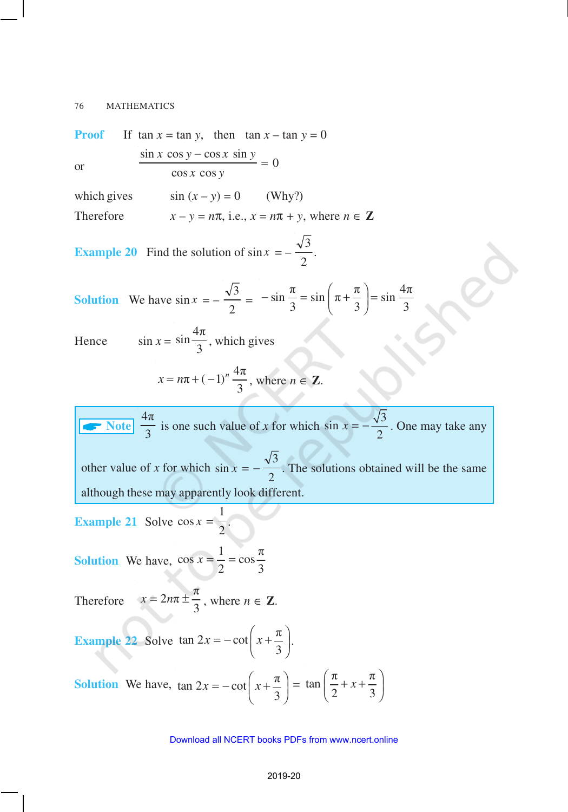**Proof** If tan  $x = \tan y$ , then  $\tan x - \tan y = 0$ or  $\sin x \cos y - \cos x \sin y$ cos cos *x y*  $= 0$ which gives  $\sin (x - y) = 0$  (Why?) Therefore  $x - y = n\pi$ , i.e.,  $x = n\pi + y$ , where  $n \in \mathbb{Z}$ **Example 20** Find the solution of  $\sin x = -\frac{\sqrt{3}}{2}$ 2 . **Solution** We have  $\sin x = -\frac{\sqrt{3}}{2}$ 2 =  $\sin \frac{\pi}{6} = \sin \left( \pi + \frac{\pi}{6} \right) = \sin \frac{4\pi}{6}$ 3 3 3  $-\sin\frac{\pi}{3} = \sin\left(\pi + \frac{\pi}{3}\right) =$ Hence  $\sin x =$  $\sin \frac{4\pi}{2}$  $\frac{1}{3}$ , which gives  $\pi + (-1)^n \frac{4\pi}{2}$ 3  $x = n\pi + (-1)^n \frac{4\pi}{2}$ , where  $n \in \mathbb{Z}$ .

 $\frac{4\pi}{3}$  $\frac{\pi}{3}$  is one such value of *x* for which sin  $x = -\frac{\sqrt{3}}{2}$  $x = -\frac{\sqrt{3}}{2}$ . One may take any other value of *x* for which  $\sin x = -\frac{\sqrt{3}}{2}$ 2 . The solutions obtained will be the same although these may apparently look different.

**Example 21** Solve  $\cos x = \frac{1}{2}$  $\overline{2}$ .

**Solution** We have,  $\cos x = \frac{1}{2} = \cos \frac{\pi}{2}$ 2 3  $\bar{x} = \frac{1}{a}$ 

Therefore  $2n\pi \pm \frac{\pi}{2}$  $x = 2n\pi \pm \frac{\pi}{3}$ , where  $n \in \mathbb{Z}$ .

**Example 22** Solve  $\tan 2x = -\cot\left(x + \frac{\pi}{2}\right)$ 3  $x = -\cot\left(x + \frac{\pi}{3}\right)$ .

**Solution** We have,  $\tan 2x = -\cot\left(x + \frac{\pi}{2}\right)$ 3  $x = -\cot\left(x + \frac{\pi}{3}\right) =$  $\pi$   $\pi$ tan 2 3  $\left(\frac{\pi}{2}+x+\frac{\pi}{3}\right)$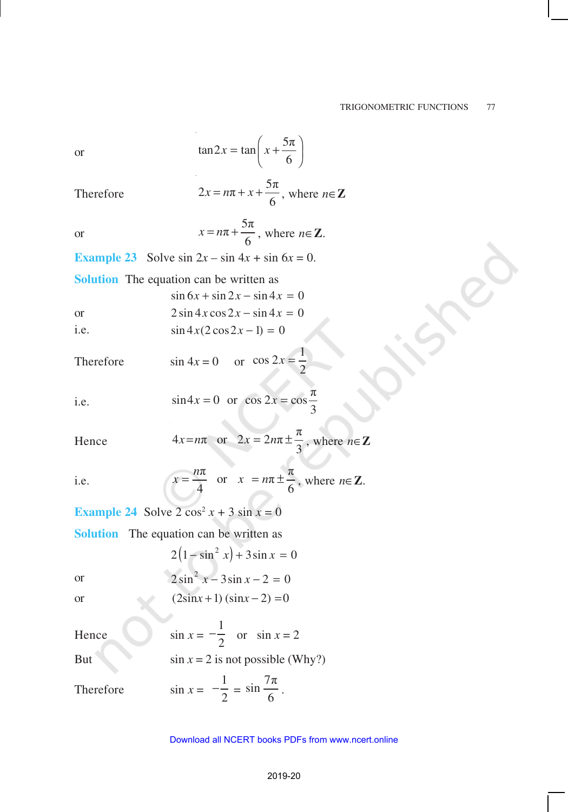or 
$$
\tan 2x = \tan \left(x + \frac{5\pi}{6}\right)
$$

Therefore  $2x = n\pi + x + \frac{5\pi}{6}$  $x = n\pi + x + \frac{5\pi}{6}$ , where  $n \in \mathbb{Z}$ 

> $\pi + \frac{5\pi}{4}$  $x = n\pi + \frac{5n}{6}$ , where  $n \in \mathbb{Z}$ .

**Example 23** Solve sin  $2x - \sin 4x + \sin 6x = 0$ .

**Solution** The equation can be written as  $\sin 6x + \sin 2x - \sin 4x = 0$ or  $2 \sin 4x \cos 2x - \sin 4x = 0$ i.e.  $\sin 4x(2\cos 2x - 1) = 0$ 

Therefore  $\sin 4x = 0$  or  $\cos 2x = \frac{1}{2}$ 2  $x =$ 

i.e. 
$$
\sin 4x = 0
$$
 or  $\cos 2x = \cos \frac{\pi}{3}$ 

Hence  $4x=n\pi$  or  $2x=2n\pi \pm \frac{\pi}{2}$  $x=n\pi$  or  $2x = 2n\pi \pm \frac{\pi}{3}$ , where  $n \in \mathbb{Z}$ 

i.e.

or

$$
x = \frac{n\pi}{4}
$$
 or  $x = n\pi \pm \frac{\pi}{6}$ , where  $n \in \mathbb{Z}$ .

**Example 24** Solve  $2 \cos^2 x + 3 \sin x = 0$ 

**Solution** The equation can be written as

 $2(1-\sin^2 x) + 3\sin x = 0$ or  $2\sin^2 x - 3\sin x - 2 = 0$ 

or  $(2\sin x + 1)(\sin x - 2) = 0$ 

Hence  $\sin x =$ 1  $-\frac{1}{2}$  or  $\sin x = 2$ But  $\sin x = 2$  is not possible (Why?) Therefore  $\sin x =$ 1  $-\frac{1}{2}$  =  $\sin \frac{7\pi}{6}$  $\frac{1}{6}$ .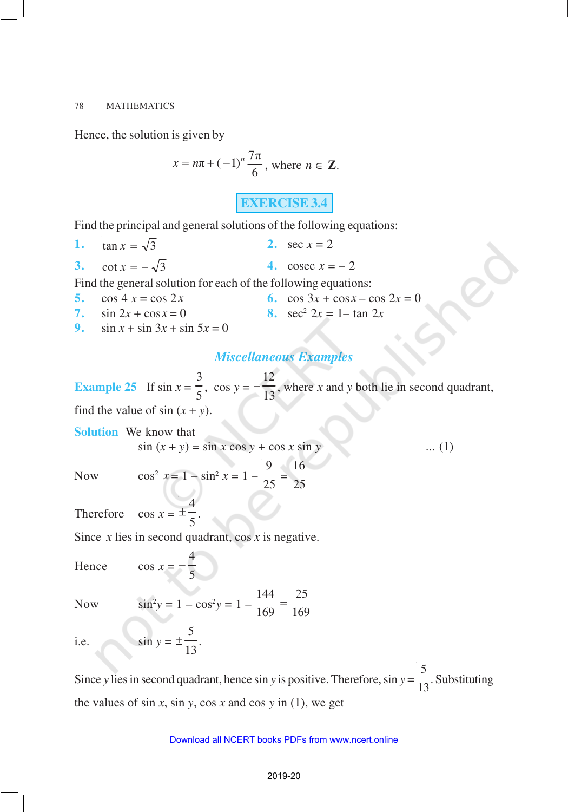Hence, the solution is given by

$$
x = n\pi + (-1)^n \frac{7\pi}{6}
$$
, where  $n \in \mathbb{Z}$ .

**EXERCISE 3.4**

Find the principal and general solutions of the following equations:

**1.**  $\tan x = \sqrt{3}$  **2.**  $\sec x = 2$ **3.** cot  $x = -\sqrt{3}$  **4.** cosec  $x = -2$ 

Find the general solution for each of the following equations:

- **5.**  $\cos 4 x = \cos 2x$  **6.**  $\cos 3x + \cos x \cos 2x = 0$ **7.**  $\sin 2x + \cos x = 0$ 8.  $sec^2 2x = 1 - tan 2x$
- **9.**  $\sin x + \sin 3x + \sin 5x = 0$

# *Miscellaneous Examples*

**Example 25** If  $\sin x =$ 3  $\frac{3}{5}$ , cos *y* =  $-\frac{12}{13}$  $\frac{1}{13}$ , where *x* and *y* both lie in second quadrant,

find the value of  $sin(x + y)$ .

**Solution** We know that  
\n
$$
\sin (x + y) = \sin x \cos y + \cos x \sin y
$$
 ... (1)  
\nNow  $\cos^2 x = 1 - \sin^2 x = 1 - \frac{9}{25} = \frac{16}{25}$ 

25

Therefore  $\cos x = \pm \frac{4}{5}$  $\frac{1}{5}$ .

Since *x* lies in second quadrant, cos *x* is negative.

5

 $\frac{1}{13}$ .

Hence  $\cos x = -\frac{4}{5}$ 

Now  $\sin^2 y = 1 - \cos^2 y = 1 -$ 144 169 25 169 =

i.e.  $\sin y = \pm \frac{5}{10}$ 

Since *y* lies in second quadrant, hence sin *y* is positive. Therefore, sin *y* = 5  $\frac{1}{13}$ . Substituting the values of  $\sin x$ ,  $\sin y$ ,  $\cos x$  and  $\cos y$  in (1), we get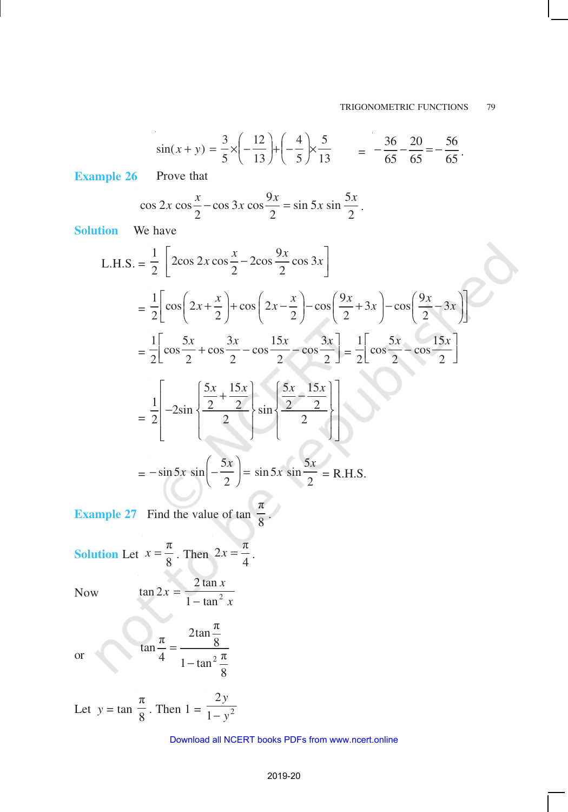$$
\sin(x+y) = \frac{3}{5} \times \left(-\frac{12}{13}\right) + \left(-\frac{4}{5}\right) \times \frac{5}{13} = -\frac{36}{65} - \frac{20}{65} = -\frac{56}{65}.
$$

**Example 26** Prove that

$$
\cos 2x \cos \frac{x}{2} - \cos 3x \cos \frac{9x}{2} = \sin 5x \sin \frac{5x}{2}.
$$

**Solution** We have

L.H.S. = 
$$
\frac{1}{2} \left[ 2\cos 2x \cos \frac{x}{2} - 2\cos \frac{9x}{2} \cos 3x \right]
$$
  
\n=  $\frac{1}{2} \left[ \cos \left( 2x + \frac{x}{2} \right) + \cos \left( 2x - \frac{x}{2} \right) - \cos \left( \frac{9x}{2} + 3x \right) - \cos \left( \frac{9x}{2} - 3x \right) \right]$   
\n=  $\frac{1}{2} \left[ \cos \frac{5x}{2} + \cos \frac{3x}{2} - \cos \frac{15x}{2} - \cos \frac{3x}{2} \right] = \frac{1}{2} \left[ \cos \frac{5x}{2} - \cos \frac{15x}{2} \right]$   
\n=  $\frac{1}{2} \left[ -2\sin \left( \frac{5x}{2} + \frac{15x}{2} \right) \sin \left( \frac{5x}{2} - \frac{15x}{2} \right) \right]$ 

$$
= -\sin 5x \sin \left(-\frac{3x}{2}\right) = \sin 5x \sin \frac{3x}{2} = \text{R.H.S.}
$$

**Example 27** Find the value of tan π  $\frac{1}{8}$ .

**Solution** Let 
$$
x = \frac{\pi}{8}
$$
. Then  $2x = \frac{\pi}{4}$ .

Now

$$
\tan 2x = \frac{2 \tan x}{1 - \tan^2 x}
$$

 $\frac{\pi}{9} = \frac{2\tan\frac{\pi}{8}}{8}$  $\frac{1}{4} = \frac{1}{1 - \tan^2 \frac{\pi}{2}}$ 

−

π

8

or  $\tan \frac{\pi}{4} = \frac{8}{1 + \tan^2 \theta}$ 

Let 
$$
y = \tan \frac{\pi}{8}
$$
. Then  $1 = \frac{2y}{1 - y^2}$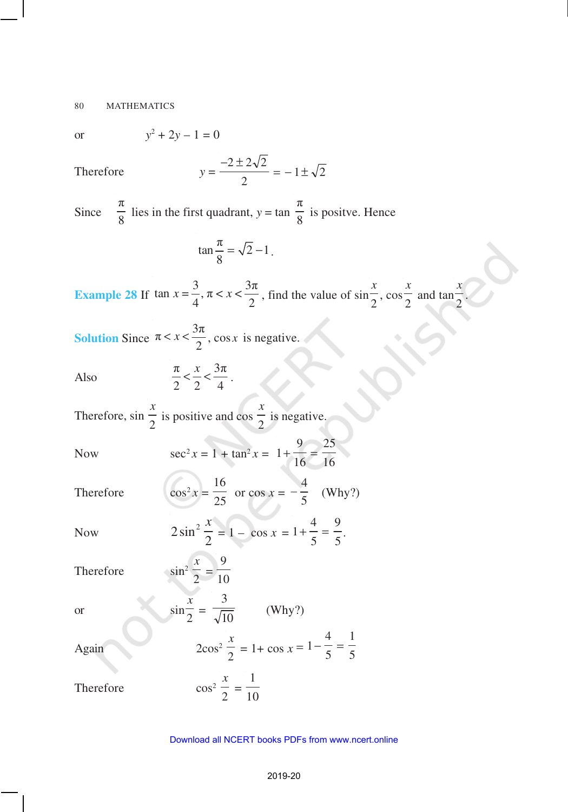$$
y^2 + 2y - 1 = 0
$$

Therefore

$$
y = \frac{-2 \pm 2\sqrt{2}}{2} = -1 \pm \sqrt{2}
$$

Since π  $\frac{\pi}{8}$  lies in the first quadrant, *y* = tan π  $\frac{1}{8}$  is positve. Hence

$$
\tan\frac{\pi}{8} = \sqrt{2} - 1.
$$

**Example 28** If  $\tan x = \frac{3}{4}, \pi < x < \frac{3\pi}{2}$  $x = \frac{3}{4}$ ,  $\pi < x < \frac{3\pi}{2}$ , find the value of  $\sin \frac{x}{2}$  $\frac{1}{2}$ , cos *x*  $\frac{1}{2}$  and tan *x*  $\frac{1}{2}$ .

**Solution** Since  $\pi < x < \frac{3\pi}{2}$  $\lt x \lt \frac{3\pi}{2}$ , cos *x* is negative.

Also

$$
\frac{\pi}{2} < \frac{x}{2} < \frac{3\pi}{4} \, .
$$

Therefore, sin *x*  $\frac{1}{2}$  is positive and cos *x*  $\frac{1}{2}$  is negative.

Now  $\sec^2 x = 1 + \tan^2 x = 1$ 9 16 25 16  $+ - =$ 

Therefore  $\cos^2 x =$ 16  $\frac{1}{25}$  or cos *x* = 4 5 *–* (Why?)

> 2  $\sin^2$ *x*  $= 1 - \cos x = 1$  $+\frac{1}{5} = \frac{2}{5}.$

Therefore

Now

*x*  $\frac{1}{2}$  = 9 10 or sin *x*  $\frac{1}{2}$  = 3  $\frac{1}{10}$  (Why?) Again 2cos<sup>2</sup> *x*  $\frac{x}{2} = 1 + \cos x = 1$ 4 5 1 5  $-\frac{1}{r}$  = Therefore *x*  $\frac{1}{2}$  = 1 10

4 5 9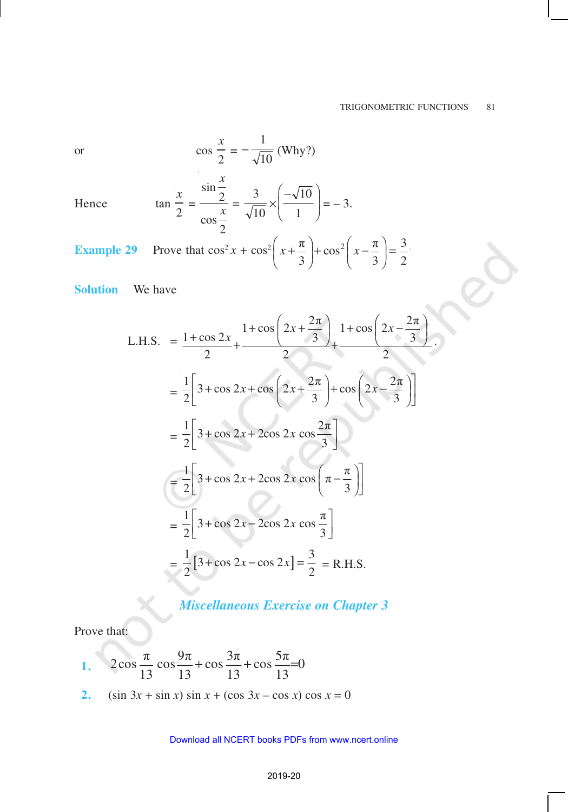.

$$
\quad \text{or} \quad
$$

or 
$$
\cos \frac{x}{2} = -\frac{1}{\sqrt{10}}
$$
 (Why?)  
\nHence  $\tan \frac{x}{2} = \frac{\sin \frac{x}{2}}{\cos \frac{x}{2}} = \frac{3}{\sqrt{10}} \times \left(\frac{-\sqrt{10}}{1}\right) = -3.$ 

Hence

Example 29 Prove that 
$$
\cos^2 x + \cos^2 \left(x + \frac{\pi}{3}\right) + \cos^2 \left(x - \frac{\pi}{3}\right) = \frac{3}{2}
$$
.

**Solution** We have

L.H.S. 
$$
= \frac{1+\cos 2x}{2} + \frac{1+\cos \left(2x + \frac{2\pi}{3}\right)}{2} + \frac{1+\cos \left(2x - \frac{2\pi}{3}\right)}{2}
$$

$$
= \frac{1}{2} \left[3 + \cos 2x + \cos \left(2x + \frac{2\pi}{3}\right) + \cos \left(2x - \frac{2\pi}{3}\right)\right]
$$

$$
= \frac{1}{2} \left[3 + \cos 2x + 2\cos 2x \cos \left(\frac{2\pi}{3}\right)\right]
$$

$$
= \frac{1}{2} \left[3 + \cos 2x + 2\cos 2x \cos \left(\frac{\pi}{3}\right)\right]
$$

$$
= \frac{1}{2} \left[3 + \cos 2x - 2\cos 2x \cos \frac{\pi}{3}\right]
$$

$$
= \frac{1}{2} \left[3 + \cos 2x - \cos 2x\right] = \frac{3}{2} = \text{R.H.S.}
$$

# *Miscellaneous Exercise on Chapter 3*

Prove that:

1. 
$$
2\cos\frac{\pi}{13}\cos\frac{9\pi}{13} + \cos\frac{3\pi}{13} + \cos\frac{5\pi}{13} = 0
$$

**2.** (sin  $3x + \sin x$ )  $\sin x + (\cos 3x - \cos x) \cos x = 0$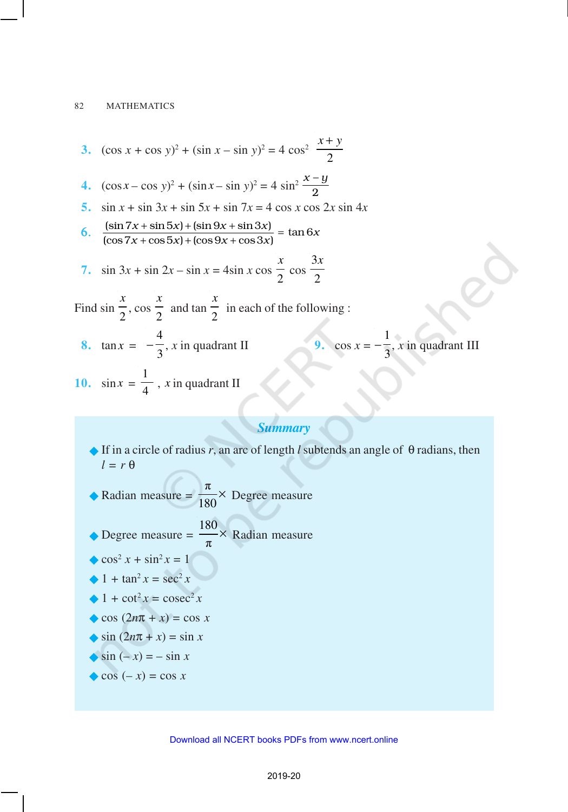3. 
$$
(\cos x + \cos y)^2 + (\sin x - \sin y)^2 = 4 \cos^2 \frac{x + y}{2}
$$
  
\n4.  $(\cos x - \cos y)^2 + (\sin x - \sin y)^2 = 4 \sin^2 \frac{x - y}{2}$   
\n5.  $\sin x + \sin 3x + \sin 5x + \sin 7x = 4 \cos x \cos 2x \sin 4x$   
\n6.  $\frac{(\sin 7x + \sin 5x) + (\sin 9x + \sin 3x)}{(\cos 7x + \cos 5x) + (\cos 9x + \cos 3x)} = \tan 6x$   
\n7.  $\sin 3x + \sin 2x - \sin x = 4 \sin x \cos \frac{x}{2} \cos \frac{3x}{2}$   
\nFind  $\sin \frac{x}{2}$ ,  $\cos \frac{x}{2}$  and  $\tan \frac{x}{2}$  in each of the following :  
\n8.  $\tan x = -\frac{4}{3}$ , *x* in quadrant II  
\n9.  $\cos x = -\frac{1}{3}$ , *x* in quadrant III  
\n10.  $\sin x = \frac{1}{4}$ , *x* in quadrant II

# *Summary*

- ®If in a circle of radius *r*, an arc of length *l* subtends an angle of θ radians, then *l = r* θ
- Radian measure =  $\frac{\pi}{18}$  $\frac{\pi}{180}$   $\times$  Degree measure
- $\bullet$  Degree measure =  $\frac{180}{15}$  $\frac{30}{\pi}$  Radian measure
- $\cos^2 x + \sin^2 x = 1$
- $1 + \tan^2 x = \sec^2 x$
- $\triangle$  1 + cot<sup>2</sup>x = cosec<sup>2</sup>x
- $\cos(2n\pi + x) = \cos x$
- $\sin(2n\pi + x) = \sin x$

$$
\bullet \sin(-x) = -\sin x
$$

 $\cos(-x) = \cos x$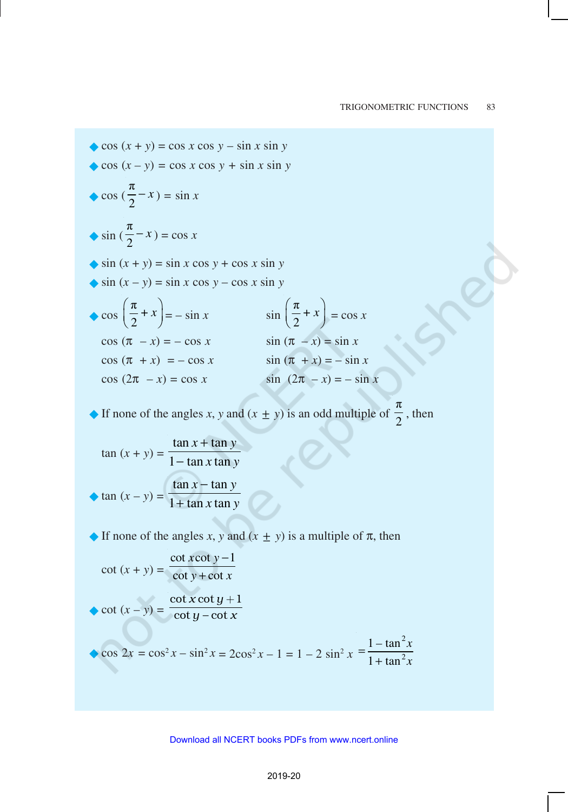*– x x*

$$
\begin{aligned}\n\bullet \cos(x + y) &= \cos x \cos y - \sin x \sin y \\
\bullet \cos(x - y) &= \cos x \cos y + \sin x \sin y \\
\bullet \cos\left(\frac{\pi}{2} - x\right) &= \sin x \\
\bullet \sin\left(\frac{\pi}{2} - x\right) &= \cos x \\
\bullet \sin(x + y) &= \sin x \cos y + \cos x \sin y \\
\bullet \sin(x - y) &= \sin x \cos y - \cos x \sin y \\
\bullet \cos\left(\frac{\pi}{2} + x\right) &= -\sin x \\
\cos(\pi - x) &= -\cos x \\
\text{cos}(\pi + x) &= -\cos x \\
\text{cos}(\pi - x) &= -\cos x \\
\text{cos}(\pi - x) &= \cos x \\
\text{cos}(\pi - x) &= \cos x \\
\text{sin}(\pi - x) &= -\sin x \\
\text{cos}(\pi - x) &= -\sin x \\
\text{cos}(\pi - x) &= \cos x \\
\text{sin}(\pi - x) &= -\sin x \\
\text{sin}(\pi - x) &= -\sin x \\
\text{sin}(\pi - x) &= -\sin x \\
\text{cos}(\pi - x) &= -\sin x \\
\text{cos}(\pi - x) &= \cos x \\
\text{sin}(\pi - x) &= -\sin x \\
\text{sin}(\pi - x) &= -\sin x \\
\text{sin}(\pi - x) &= -\sin x \\
\text{sin}(\pi - x) &= -\sin x \\
\text{sin}(\pi - x) &= -\sin x \\
\text{cos}(\pi - x) &= -\sin x \\
\text{cos}(\pi - x) &= -\sin x \\
\text{cos}(\pi - x) &= -\sin x \\
\text{cos}(\pi - x) &= -\sin x \\
\text{cos}(\pi - x) &= -\sin x \\
\text{cos}(\pi - x) &= -\sin x \\
\text{cos}(\pi - x) &= -\sin x \\
\text{cos}(\pi - x) &= -\sin x \\
\text{cos}(\pi - x) &= -\cos x \\
\text{cos}(\pi - x) &= -\cos x \\
\text{cos}(\pi - x) &= -\cos x \\
\text{cos}(\pi - x) &= -\cos x \\
\text{cos}(\pi -
$$

• If none of the angles *x*, *y* and  $(x \pm y)$  is an odd multiple of  $\frac{\pi}{2}$  $\frac{1}{2}$ , then

$$
\tan (x + y) = \frac{\tan x + \tan y}{1 - \tan x \tan y}
$$
  
 
$$
\tan (x - y) = \frac{\tan x - \tan y}{1 + \tan x \tan y}
$$

 $\blacklozenge$  If none of the angles *x*, *y* and  $(x \pm y)$  is a multiple of  $\pi$ , then

$$
\cot (x + y) = \frac{\cot x \cot y - 1}{\cot y + \cot x}
$$
  
\n
$$
\text{cot} (x - y) = \frac{\cot x \cot y + 1}{\cot y - \cot x}
$$
  
\n
$$
\text{cos } 2x = \cos^2 x - \sin^2 x = 2\cos^2 x - 1 = 1 - 2\sin^2 x = \frac{1 - \tan^2 x}{1 + \tan^2 x}
$$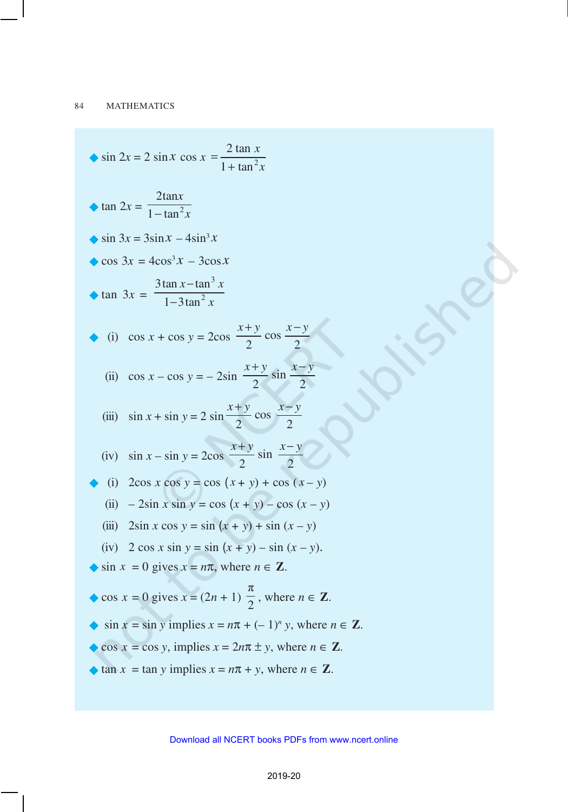$$
\begin{aligned}\n\bullet \sin 2x &= 2 \sin x \cos x = \frac{2 \tan x}{1 + \tan^2 x} \\
\bullet \tan 2x &= \frac{2 \tan x}{1 - \tan^2 x} \\
\bullet \sin 3x &= 3 \sin x - 4 \sin^3 x \\
\bullet \cos 3x &= 4 \cos^3 x - 3 \cos x \\
\bullet \tan 3x &= \frac{3 \tan x - \tan^3 x}{1 - 3 \tan^2 x} \\
\bullet \text{ (i) } \cos x + \cos y &= 2 \cos \frac{x + y}{2} \cos \frac{x - y}{2} \\
\bullet \text{ (ii) } \cos x - \cos y &= -2 \sin \frac{x + y}{2} \sin \frac{x - y}{2} \\
\bullet \text{ (iii) } \sin x + \sin y &= 2 \sin \frac{x + y}{2} \cos \frac{x - y}{2} \\
\bullet \text{ (i) } 2 \cos x \cos y &= \cos (x + y) + \cos (x - y) \\
\bullet \text{ (ii) } -2 \sin x \sin y &= \cos (x + y) - \cos (x - y) \\
\bullet \text{ (iii) } 2 \sin x \cos y &= \sin (x + y) + \sin (x - y) \\
\bullet \text{ (iv) } 2 \cos x \sin y &= \sin (x + y) + \sin (x - y) \\
\bullet \text{ (iv) } 2 \cos x \sin y &= \sin (x + y) - \sin (x - y).\n\end{aligned}
$$
\n
$$
\begin{aligned}\n\bullet \sin x &= 0 \text{ gives } x = n\pi, \text{ where } n \in \mathbb{Z}.\n\end{aligned}
$$
\n
$$
\begin{aligned}\n\bullet \cos x &= 0 \text{ gives } x = n\pi, \text{ where } n \in \mathbb{Z}.\n\end{aligned}
$$
\n
$$
\begin{aligned}\n\bullet \cos x &= 0 \text{ gives } x = n\pi, \text{ where } n \in \mathbb{Z}.\n\end{aligned}
$$
\n
$$
\begin{aligned}\n\bullet \sin 2x &= 2 \sin x - 4 \sin^3 x \\
\bullet \cos 2x &= 2 \cos x \\
\bullet \cos x &= 2 \cos \frac{x + y}{2} \cos \frac{x - y}{2} \\
\bullet \sin x &= 2 \sin \frac{x + y}{2} \cos \frac{x - y}{2}\n\end{aligned}
$$
\n
$$
\begin{aligned}\n\bullet \sin 2x &= 2 \sin x - 4 \sin^3 x \\
\bullet \cos 3x &= 4 \cos
$$